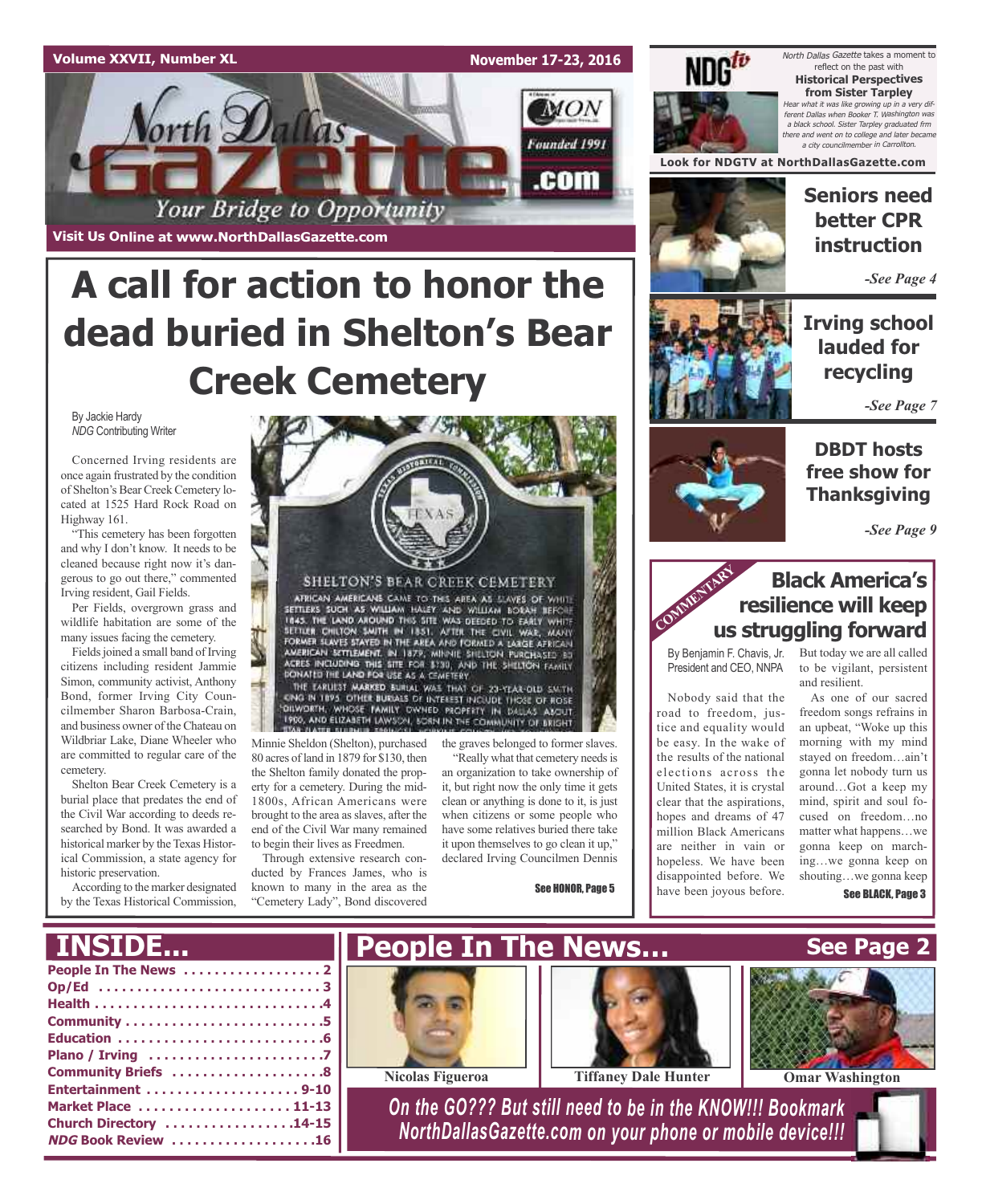### **Volume XXVII, Number XL**

**Visit Us Online at www.NorthDallasGazette.com**

*lorth Dallas* 

**November 17-23, 2016**

 $_{MON}$ 

Founded 1991

.com



North Dallas Gazette takes a moment to reflect on the past with **Historical Perspectives from Sister Tarpley** Hear what it was like growing up in <sup>a</sup> very different Dallas when Booker T. Washington was <sup>a</sup> black school. Sister Tarpley graduated frm there and went on to college and later became a city councilmember in Carro.

**Look for NDGTV at NorthDallasGazette.com**



### **Seniors need better CPR instruction**

*-See Page 4*

**Irving school lauded for recycling**

*-See Page 7*



Concerned Irving residents are once again frustrated by the condition of Shelton's Bear Creek Cemetery located at 1525 Hard Rock Road on Highway 161.

"This cemetery has been forgotten and why I don't know. It needs to be cleaned because right now it's dangerous to go out there," commented Irving resident, Gail Fields.

Per Fields, overgrown grass and wildlife habitation are some of the many issues facing the cemetery.

Fields joined a small band of Irving citizens including resident Jammie Simon, community activist, Anthony Bond, former Irving City Councilmember Sharon Barbosa-Crain, and business owner of the Chateau on Wildbriar Lake, Diane Wheeler who are committed to regular care of the cemetery.

Shelton Bear Creek Cemetery is a burial place that predates the end of the Civil War according to deeds researched by Bond. It was awarded a historical marker by the Texas Historical Commission, a state agency for historic preservation.

According to the marker designated by the Texas Historical Commission,



SHELTON'S BEAR CREEK CEMETERY ATRICAN AMERICANS CAME TO THIS AREA AS SAVES OF WHILE SETTLERS SUCH AS WILLIAM HALEY AND WILLIAM BORAH REFORE 1845. THE LAND AROUND THIS SITE WAS DEEDED TO EARLY WHITE<br>SETTLER CHILTON: SMITH IN 1851. AFTER THE CIVIL WAR, MANY<br>FORMER SLAVES STAYED IN THE AREA AND FORMED A LARGE AFRICAN AMERICAN SETTLEMENT, IN 1879, MINNIE SHELTON PURCHASED BD<br>ACRES INCLUDING THIS SITE FOR \$130, AND THE SHELTON FAMILY<br>DONATED THE LAND FOR USE AS A CEMETERY

THE EARLILST MARKED BURIAL WAS THAT OF 23-YEAR-OLD SM.TH<br>CNG IN 1895 OTHER BURIALS OF INTEREST INCLUDE THOSE OF ROSE DILWORTH, WHOSE FAMILY OWNED PROPERTY IN DALLAS ABOUT 1900, AND ELIZABETH LAWSON, SORN IN THE COMMUNITY OF BRIGHT

Minnie Sheldon (Shelton), purchased 80 acres ofland in 1879 for \$130, then the Shelton family donated the property for a cemetery. During the mid-1800s, African Americans were brought to the area as slaves, after the

**A call for action to honor the**

Your Bridge to Opportunity

**dead buried in Shelton's Bear**

**Creek Cemetery**

end of the Civil War many remained to begin their lives as Freedmen. Through extensive research con-

ducted by Frances James, who is known to many in the area as the "Cemetery Lady", Bond discovered the graves belonged to former slaves. "Really what that cemetery needs is

an organization to take ownership of it, but right now the only time it gets clean or anything is done to it, is just when citizens or some people who have some relatives buried there take it upon themselves to go clean it up," declared Irving Councilmen Dennis

See HONOR, Page 5



### **DBDT hosts free show for Thanksgiving**

*-See Page 9*

### **Black America's resilience will keep us struggling forward** COMMENTARY

President and CEO, NNPA

Nobody said that the road to freedom, justice and equality would be easy. In the wake of the results of the national elections across the United States, it is crystal clear that the aspirations, hopes and dreams of 47 million Black Americans are neither in vain or hopeless. We have been disappointed before. We have been joyous before.

By Benjamin F. Chavis, Jr. But today we are all called to be vigilant, persistent and resilient.

As one of our sacred freedom songs refrains in an upbeat, "Woke up this morning with my mind stayed on freedom…ain't gonna let nobody turn us around…Got a keep my mind, spirit and soul focused on freedom…no matter what happens…we gonna keep on marching…we gonna keep on shouting…we gonna keep

See BLACK, Page 3

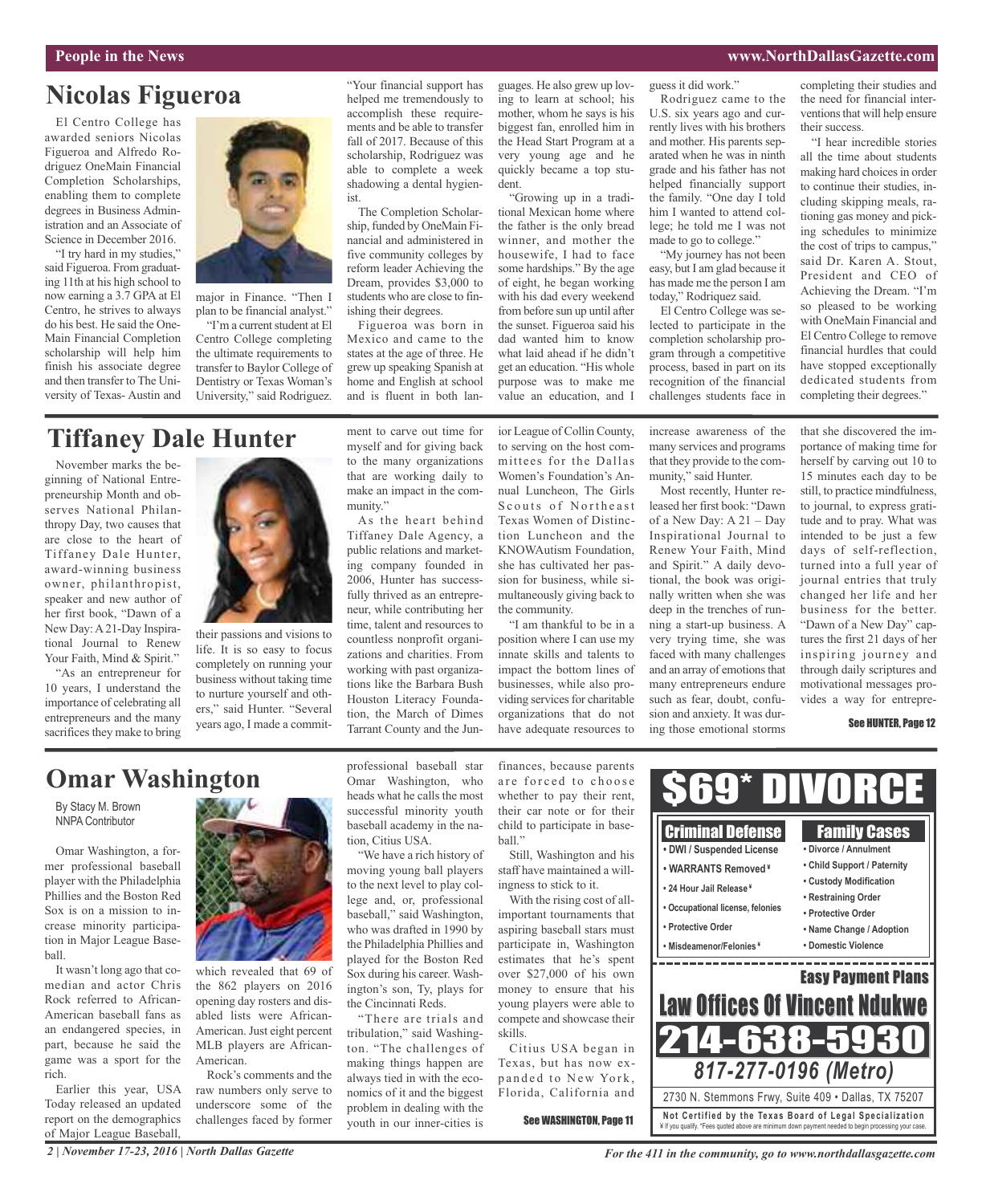## **Nicolas Figueroa**

El Centro College has awarded seniors Nicolas Figueroa and Alfredo Rodriguez OneMain Financial Completion Scholarships, enabling them to complete degrees in Business Administration and an Associate of Science in December 2016.

"I try hard in my studies," said Figueroa. From graduating 11th at his high school to now earning a 3.7 GPA at El Centro, he strives to always do his best. He said the One-Main Financial Completion scholarship will help him finish his associate degree and then transfer to The University of Texas- Austin and



major in Finance. "Then I plan to be financial analyst."

"I'm a current student at El Centro College completing the ultimate requirements to transfer to Baylor College of Dentistry or Texas Woman's University," said Rodriguez.

"Your financial support has helped me tremendously to accomplish these requirements and be able to transfer fall of 2017. Because of this scholarship, Rodriguez was able to complete a week shadowing a dental hygienist.

The Completion Scholarship, funded by OneMain Financial and administered in five community colleges by reform leader Achieving the Dream, provides \$3,000 to students who are close to finishing their degrees.

Figueroa was born in Mexico and came to the states at the age of three. He grew up speaking Spanish at home and English at school and is fluent in both languages. He also grew up loving to learn at school; his mother, whom he says is his biggest fan, enrolled him in the Head Start Program at a very young age and he quickly became a top student.

"Growing up in a traditional Mexican home where the father is the only bread winner, and mother the housewife, I had to face some hardships." By the age of eight, he began working with his dad every weekend from before sun up until after the sunset. Figueroa said his dad wanted him to know what laid ahead if he didn't get an education. "His whole purpose was to make me value an education, and I

guess it did work."

Rodriguez came to the U.S. six years ago and currently lives with his brothers and mother. His parents separated when he was in ninth grade and his father has not helped financially support the family. "One day I told him I wanted to attend college; he told me I was not made to go to college."

"My journey has not been easy, but I am glad because it has made me the person I am today," Rodriquez said.

El Centro College was selected to participate in the completion scholarship program through a competitive process, based in part on its recognition of the financial challenges students face in

completing their studies and the need for financial interventions that will help ensure their success.

"I hear incredible stories all the time about students making hard choices in order to continue their studies, including skipping meals, rationing gas money and picking schedules to minimize the cost of trips to campus," said Dr. Karen A. Stout, President and CEO of Achieving the Dream. "I'm so pleased to be working with OneMain Financial and El Centro College to remove financial hurdles that could have stopped exceptionally dedicated students from completing their degrees."

## **Tiffaney Dale Hunter**

November marks the beginning of National Entrepreneurship Month and observes National Philanthropy Day, two causes that are close to the heart of Tiffaney Dale Hunter, award-winning business owner, philanthropist, speaker and new author of her first book, "Dawn of a New Day:A21-Day Inspirational Journal to Renew Your Faith, Mind & Spirit."

"As an entrepreneur for 10 years, I understand the importance of celebrating all entrepreneurs and the many sacrifices they make to bring



their passions and visions to life. It is so easy to focus completely on running your business without taking time to nurture yourself and others," said Hunter. "Several years ago, I made a commit-

ment to carve out time for myself and for giving back to the many organizations that are working daily to make an impact in the community."

As the heart behind Tiffaney Dale Agency, a public relations and marketing company founded in 2006, Hunter has successfully thrived as an entrepreneur, while contributing her time, talent and resources to countless nonprofit organizations and charities. From working with past organizations like the Barbara Bush Houston Literacy Foundation, the March of Dimes Tarrant County and the Junior League of Collin County, to serving on the host committees for the Dallas Women's Foundation's Annual Luncheon, The Girls Scouts of Northeast Texas Women of Distinction Luncheon and the KNOWAutism Foundation, she has cultivated her passion for business, while simultaneously giving back to the community.

"I am thankful to be in a position where I can use my innate skills and talents to impact the bottom lines of businesses, while also providing services for charitable organizations that do not have adequate resources to

increase awareness of the many services and programs that they provide to the community," said Hunter.

Most recently, Hunter released her first book: "Dawn of a New Day: A 21 – Day Inspirational Journal to Renew Your Faith, Mind and Spirit." A daily devotional, the book was originally written when she was deep in the trenches of running a start-up business. A very trying time, she was faced with many challenges and an array of emotions that many entrepreneurs endure such as fear, doubt, confusion and anxiety. It was during those emotional storms

that she discovered the importance of making time for herself by carving out 10 to 15 minutes each day to be still, to practice mindfulness, to journal, to express gratitude and to pray. What was intended to be just a few days of self-reflection, turned into a full year of journal entries that truly changed her life and her business for the better. "Dawn of a New Day" captures the first 21 days of her inspiring journey and through daily scriptures and motivational messages provides a way for entrepre-

#### See HUNTER, Page 12

## **Omar Washington**

By Stacy M. Brown NNPA Contributor

Omar Washington, a former professional baseball player with the Philadelphia Phillies and the Boston Red Sox is on a mission to increase minority participation in Major League Baseball.

It wasn't long ago that comedian and actor Chris Rock referred to African-American baseball fans as an endangered species, in part, because he said the game was a sport for the rich.

Earlier this year, USA Today released an updated report on the demographics of Major League Baseball,



which revealed that 69 of the 862 players on 2016 opening day rosters and disabled lists were African-American. Just eight percent MLB players are African-American.

Rock's comments and the raw numbers only serve to underscore some of the challenges faced by former professional baseball star Omar Washington, who heads what he calls the most successful minority youth baseball academy in the nation, Citius USA.

"We have a rich history of moving young ball players to the next level to play college and, or, professional baseball," said Washington, who was drafted in 1990 by the Philadelphia Phillies and played for the Boston Red Sox during his career. Washington's son, Ty, plays for the Cincinnati Reds.

"There are trials and tribulation," said Washington. "The challenges of making things happen are always tied in with the economics of it and the biggest problem in dealing with the youth in our inner-cities is

finances, because parents are forced to choose whether to pay their rent, their car note or for their child to participate in baseball."

Still, Washington and his staff have maintained a willingness to stick to it.

With the rising cost of allimportant tournaments that aspiring baseball stars must participate in, Washington estimates that he's spent over \$27,000 of his own money to ensure that his young players were able to compete and showcase their skills.

Citius USA began in Texas, but has now expanded to New York, Florida, California and

See WASHINGTON, Page 11

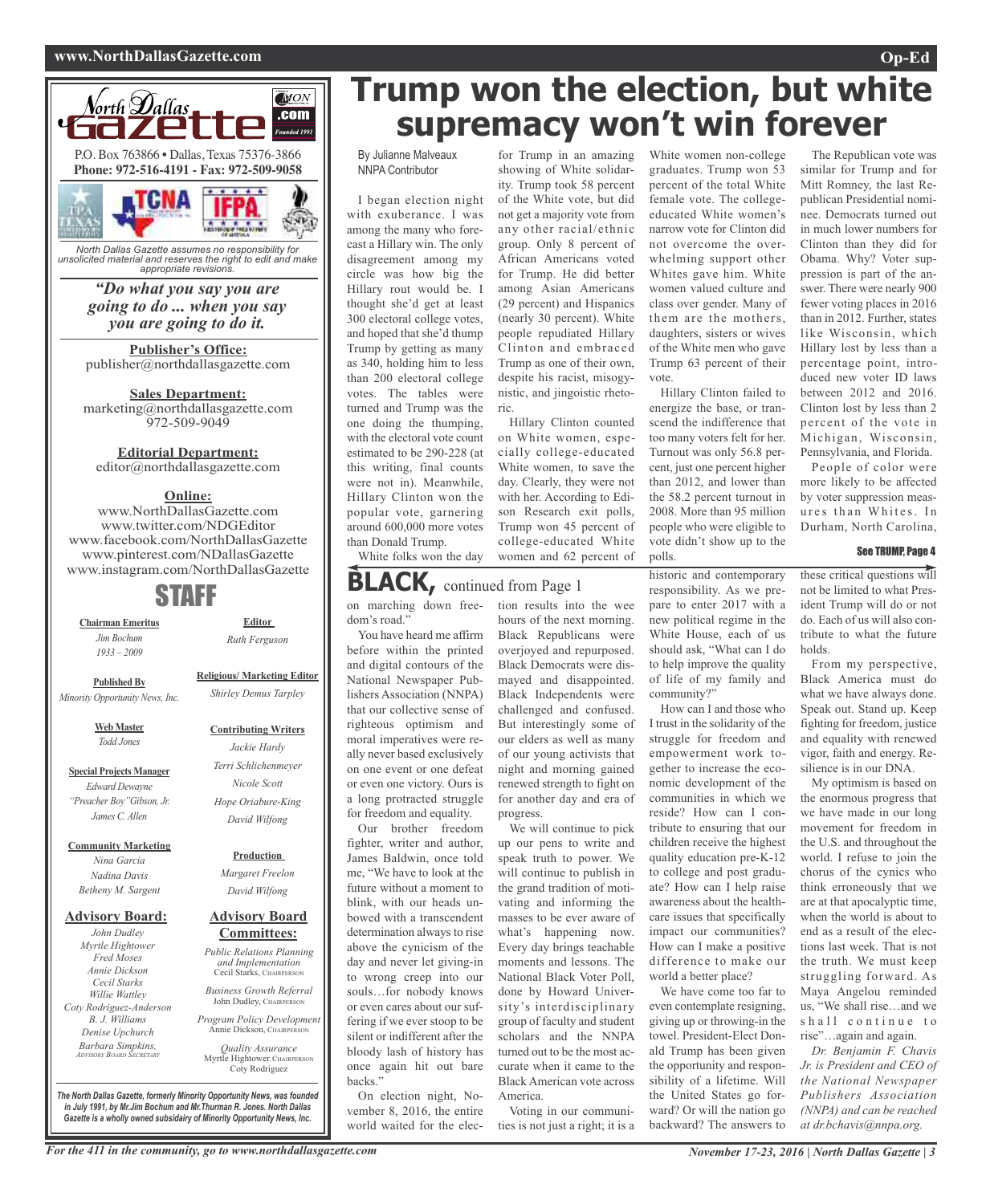### **www.NorthDallasGazette.com Op-Ed**



*unsolicited material and reserves the right to edit and make appropriate revisions.*

> *"Do what you say you are going to do ... when you say you are going to do it.*

**Publisher's Office:** publisher@northdallasgazette.com

**Sales Department:** marketing@northdallasgazette.com 972-509-9049

### **Editorial Department:**

editor@northdallasgazette.com

### **Online:**

www.NorthDallasGazette.com www.twitter.com/NDGEditor www.facebook.com/NorthDallasGazette www.pinterest.com/NDallasGazette www.instagram.com/NorthDallasGazette

## STAFF

**Chairman Emeritus** *Jim Bochum 1933 – 2009*

**Religious/ Marketing Editor**

**Editor** *Ruth Ferguson*

**Published By** *Minority Opportunity News, Inc.*

> **Web Master** *Todd Jones*

**Special Projects Manager** *Edward Dewayne "Preacher Boy"Gibson, Jr. James C. Allen*

**Community Marketing**

*Nina Garcia Nadina Davis Betheny M. Sargent*

#### **Advisory Board:**

*John Dudley Myrtle Hightower Fred Moses Annie Dickson Cecil Starks Willie Wattley Coty Rodriguez-Anderson B. J. Williams Denise Upchurch Barbara Simpkins, ADVISORY BOARD SECRETARY*

*Nicole Scott Hope Oriabure-King David Wilfong*

### **Advisory Board Committees:**

Cecil Starks, CHAIRPERSON *Business Growth Referral*

*Program Policy Development* Annie Dickson, CHAIRPE

*Quality Assurance* Myrtle Hightower, CHAIRPERSON Coty Rodriguez

*The North Dallas Gazette, formerly Minority Opportunity News, was founded in July 1991, by Mr.Jim Bochum and Mr.Thurman R. Jones. North Dallas Gazette is a wholly owned subsidairy of Minority Opportunity News, Inc.*

# **Trump won the election, but white supremacy won't win forever**

By Julianne Malveaux NNPA Contributor

I began election night with exuberance. I was among the many who forecast a Hillary win. The only disagreement among my circle was how big the Hillary rout would be. I thought she'd get at least 300 electoral college votes, and hoped that she'd thump Trump by getting as many as 340, holding him to less than 200 electoral college votes. The tables were turned and Trump was the one doing the thumping, with the electoral vote count estimated to be 290-228 (at this writing, final counts were not in). Meanwhile, Hillary Clinton won the popular vote, garnering around 600,000 more votes than Donald Trump. White folks won the day

on marching down free-

You have heard me affirm before within the printed and digital contours of the National Newspaper Publishers Association (NNPA) that our collective sense of righteous optimism and moral imperatives were really never based exclusively on one event or one defeat or even one victory. Ours is a long protracted struggle for freedom and equality. Our brother freedom fighter, writer and author, James Baldwin, once told me, "We have to look at the future without a moment to blink, with our heads unbowed with a transcendent determination always to rise above the cynicism of the day and never let giving-in to wrong creep into our souls…for nobody knows or even cares about our suffering if we ever stoop to be silent or indifferent after the bloody lash of history has once again hit out bare

dom's road.'

backs."

On election night, November 8, 2016, the entire world waited for the elec-

showing of White solidarity. Trump took 58 percent of the White vote, but did not get a majority vote from any other racial/ethnic group. Only 8 percent of African Americans voted for Trump. He did better among Asian Americans (29 percent) and Hispanics (nearly 30 percent). White people repudiated Hillary Clinton and embraced Trump as one of their own, despite his racist, misogynistic, and jingoistic rhetoric. Hillary Clinton counted

for Trump in an amazing

on White women, especially college-educated White women, to save the day. Clearly, they were not with her. According to Edison Research exit polls, Trump won 45 percent of college-educated White women and 62 percent of

tion results into the wee hours of the next morning. Black Republicans were overjoyed and repurposed. Black Democrats were dismayed and disappointed. Black Independents were challenged and confused. But interestingly some of our elders as well as many of our young activists that night and morning gained renewed strength to fight on for another day and era of progress. **ACK,** continued from Page 1

> We will continue to pick up our pens to write and speak truth to power. We will continue to publish in the grand tradition of motivating and informing the masses to be ever aware of what's happening now. Every day brings teachable moments and lessons. The National Black Voter Poll, done by Howard University's interdisciplinary group of faculty and student scholars and the NNPA turned out to be the most accurate when it came to the Black American vote across America.

Voting in our communities is not just a right; it is a White women non-college graduates. Trump won 53 percent of the total White female vote. The collegeeducated White women's narrow vote for Clinton did not overcome the overwhelming support other Whites gave him. White women valued culture and class over gender. Many of them are the mothers, daughters, sisters or wives of the White men who gave Trump 63 percent of their vote.

Hillary Clinton failed to energize the base, or transcend the indifference that too many voters felt for her. Turnout was only 56.8 percent, just one percent higher than 2012, and lower than the 58.2 percent turnout in 2008. More than 95 million people who were eligible to vote didn't show up to the polls.

historic and contemporary responsibility. As we prepare to enter 2017 with a new political regime in the White House, each of us should ask, "What can I do to help improve the quality of life of my family and community?"

How can I and those who I trust in the solidarity of the struggle for freedom and empowerment work together to increase the economic development of the communities in which we reside? How can I contribute to ensuring that our children receive the highest quality education pre-K-12 to college and post graduate? How can I help raise awareness about the healthcare issues that specifically impact our communities? How can I make a positive difference to make our world a better place?

We have come too far to even contemplate resigning, giving up or throwing-in the towel. President-Elect Donald Trump has been given the opportunity and responsibility of a lifetime. Will the United States go forward? Or will the nation go backward? The answers to

The Republican vote was similar for Trump and for Mitt Romney, the last Republican Presidential nominee. Democrats turned out in much lower numbers for Clinton than they did for Obama. Why? Voter suppression is part of the answer. There were nearly 900 fewer voting places in 2016 than in 2012. Further, states like Wisconsin, which Hillary lost by less than a percentage point, introduced new voter ID laws between 2012 and 2016. Clinton lost by less than 2 percent of the vote in Michigan, Wisconsin, Pennsylvania, and Florida.

People of color were more likely to be affected by voter suppression measures than Whites. In Durham, North Carolina,

#### See TRUMP, Page 4

these critical questions will not be limited to what President Trump will do or not do. Each of us will also contribute to what the future holds.

From my perspective, Black America must do what we have always done. Speak out. Stand up. Keep fighting for freedom, justice and equality with renewed vigor, faith and energy. Resilience is in our DNA.

My optimism is based on the enormous progress that we have made in our long movement for freedom in the U.S. and throughout the world. I refuse to join the chorus of the cynics who think erroneously that we are at that apocalyptic time, when the world is about to end as a result of the elections last week. That is not the truth. We must keep struggling forward. As Maya Angelou reminded us, "We shall rise…and we shall continue to rise"…again and again.

*Dr. Benjamin F. Chavis Jr. is President and CEO of the National Newspaper Publishers Association (NNPA) and can be reached at dr.bchavis@nnpa.org.*

## *Shirley Demus Tarpley* **Contributing Writers** *Jackie Hardy Terri Schlichenmeyer*

**Production** *Margaret Freelon*

## *David Wilfong*

*Public Relations Planning and Implementation*

John Dudley, CHAIRPERSO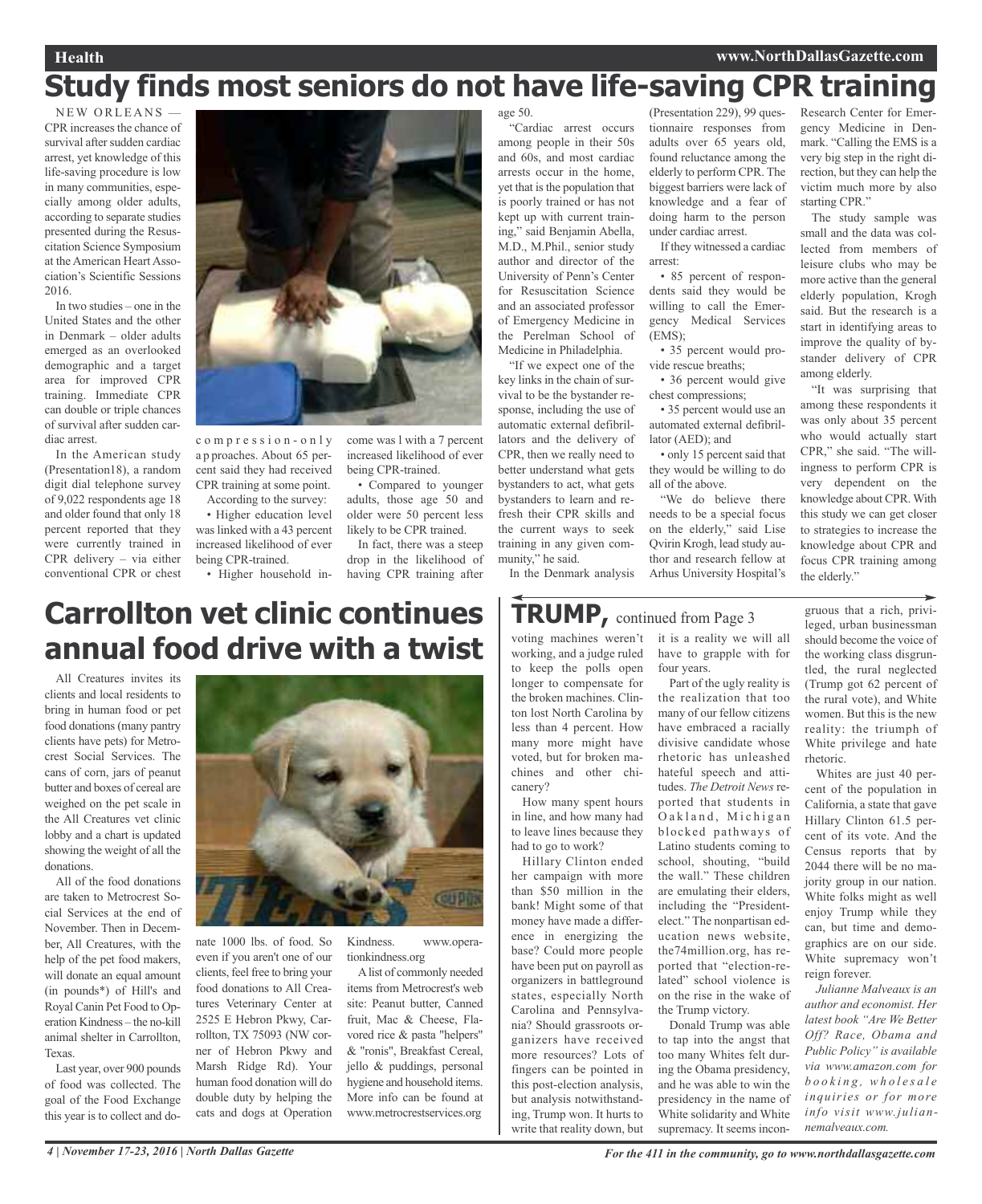# **Study finds most seniors do not have life-saving CPR training**

NEW ORLEANS CPR increases the chance of survival after sudden cardiac arrest, yet knowledge of this life-saving procedure is low in many communities, especially among older adults, according to separate studies presented during the Resuscitation Science Symposium at the American Heart Association's Scientific Sessions 2016.

In two studies – one in the United States and the other in Denmark – older adults emerged as an overlooked demographic and a target area for improved CPR training. Immediate CPR can double or triple chances of survival after sudden cardiac arrest.

In the American study (Presentation18), a random digit dial telephone survey of 9,022 respondents age 18 and older found that only 18 percent reported that they were currently trained in CPR delivery – via either conventional CPR or chest



c o m p r e s s i o n - o n l y a p proaches. About 65 percent said they had received CPR training at some point.

According to the survey: • Higher education level was linked with a 43 percent increased likelihood of ever being CPR-trained.

• Higher household in-

come was l with a 7 percent increased likelihood of ever being CPR-trained.

• Compared to younger adults, those age 50 and older were 50 percent less likely to be CPR trained.

In fact, there was a steep drop in the likelihood of having CPR training after

# **Carrollton vet clinic continues annual food drive with a twist**

All Creatures invites its clients and local residents to bring in human food or pet food donations(many pantry clients have pets) for Metrocrest Social Services. The cans of corn, jars of peanut butter and boxes of cereal are weighed on the pet scale in the All Creatures vet clinic lobby and a chart is updated showing the weight of all the donations.

All of the food donations are taken to Metrocrest Social Services at the end of November. Then in December, All Creatures, with the help of the pet food makers, will donate an equal amount (in pounds\*) of Hill's and Royal Canin Pet Food to Operation Kindness – the no-kill animal shelter in Carrollton, Texas.

Last year, over 900 pounds of food was collected. The goal of the Food Exchange this year is to collect and do-



nate 1000 lbs. of food. So even if you aren't one of our clients, feel free to bring your food donations to All Creatures Veterinary Center at 2525 E Hebron Pkwy, Carrollton, TX 75093 (NW corner of Hebron Pkwy and Marsh Ridge Rd). Your human food donation will do double duty by helping the cats and dogs at Operation Kindness. www.operationkindness.org

Alist of commonly needed items from Metrocrest's web site: Peanut butter, Canned fruit, Mac & Cheese, Flavored rice & pasta "helpers" & "ronis", Breakfast Cereal, jello & puddings, personal hygiene and household items. More info can be found at www.metrocrestservices.org age 50.

"Cardiac arrest occurs among people in their 50s and 60s, and most cardiac arrests occur in the home, yet that is the population that is poorly trained or has not kept up with current training," said Benjamin Abella, M.D., M.Phil., senior study author and director of the University of Penn's Center for Resuscitation Science and an associated professor of Emergency Medicine in the Perelman School of Medicine in Philadelphia.

"If we expect one of the key links in the chain of survival to be the bystander response, including the use of automatic external defibrillators and the delivery of CPR, then we really need to better understand what gets bystanders to act, what gets bystanders to learn and refresh their CPR skills and the current ways to seek training in any given community," he said.

In the Denmark analysis

## **TRUMP,** continued from Page <sup>3</sup>

voting machines weren't working, and a judge ruled to keep the polls open longer to compensate for the broken machines. Clinton lost North Carolina by less than 4 percent. How many more might have voted, but for broken machines and other chicanery?

How many spent hours in line, and how many had to leave lines because they had to go to work?

Hillary Clinton ended her campaign with more than \$50 million in the bank! Might some of that money have made a difference in energizing the base? Could more people have been put on payroll as organizers in battleground states, especially North Carolina and Pennsylvania? Should grassroots organizers have received more resources? Lots of fingers can be pointed in this post-election analysis, but analysis notwithstanding, Trump won. It hurts to write that reality down, but

(Presentation 229), 99 questionnaire responses from adults over 65 years old, found reluctance among the elderly to perform CPR. The biggest barriers were lack of knowledge and a fear of doing harm to the person under cardiac arrest.

If they witnessed a cardiac arrest:

• 85 percent of respondents said they would be willing to call the Emergency Medical Services (EMS);

• 35 percent would provide rescue breaths;

• 36 percent would give chest compressions;

• 35 percent would use an automated external defibrillator (AED); and

• only 15 percent said that they would be willing to do all of the above.

"We do believe there needs to be a special focus on the elderly," said Lise Qvirin Krogh, lead study author and research fellow at Arhus University Hospital's

it is a reality we will all have to grapple with for

Part of the ugly reality is the realization that too many of our fellow citizens have embraced a racially divisive candidate whose rhetoric has unleashed hateful speech and attitudes. *The Detroit News* reported that students in Oakland, Michigan blocked pathways of Latino students coming to school, shouting, "build the wall." These children are emulating their elders, including the "Presidentelect." The nonpartisan education news website, the74million.org, has reported that "election-related" school violence is on the rise in the wake of

four years.

the Trump victory.

Donald Trump was able to tap into the angst that too many Whites felt during the Obama presidency, and he was able to win the presidency in the name of White solidarity and White supremacy. It seems incon-

Research Center for Emergency Medicine in Denmark. "Calling the EMS is a very big step in the right direction, but they can help the victim much more by also starting CPR."

The study sample was small and the data was collected from members of leisure clubs who may be more active than the general elderly population, Krogh said. But the research is a start in identifying areas to improve the quality of bystander delivery of CPR among elderly.

"It was surprising that among these respondents it was only about 35 percent who would actually start CPR," she said. "The willingness to perform CPR is very dependent on the knowledge about CPR. With this study we can get closer to strategies to increase the knowledge about CPR and focus CPR training among the elderly."

gruous that a rich, privileged, urban businessman should become the voice of the working class disgruntled, the rural neglected (Trump got 62 percent of the rural vote), and White women. But this is the new reality: the triumph of White privilege and hate rhetoric.

Whites are just 40 percent of the population in California, a state that gave Hillary Clinton 61.5 percent of its vote. And the Census reports that by 2044 there will be no majority group in our nation. White folks might as well enjoy Trump while they can, but time and demographics are on our side. White supremacy won't reign forever.

*Julianne Malveaux is an author and economist. Her latest book "Are We Better Off? Race, Obama and Public Policy" is available via www.amazon.com for b o o k i n g , w h o l e s a l e inquiries or for more info visit www.juliannemalveaux.com.*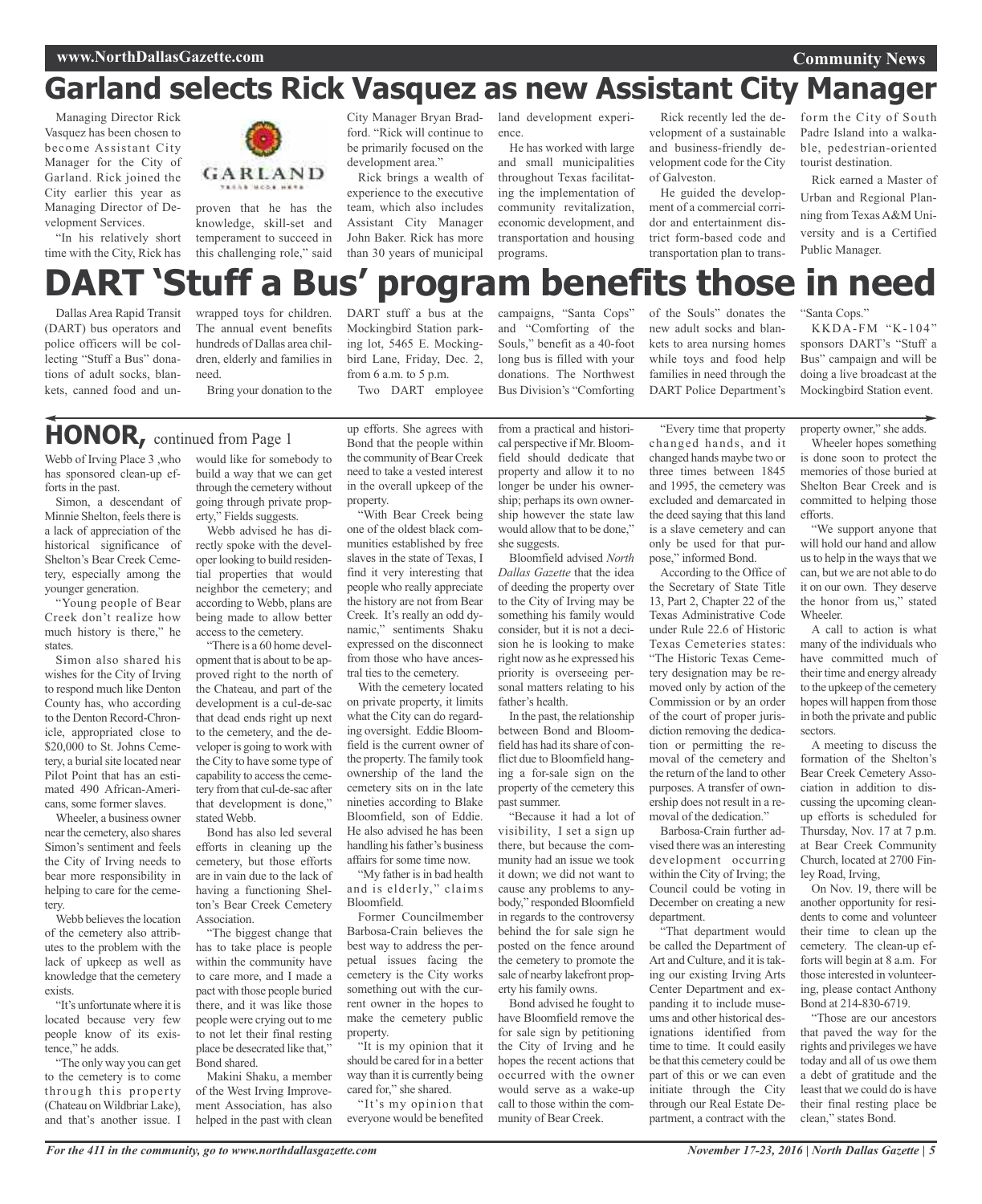# **Garland selects Rick Vasquez as new Assistant City Manager**

Managing Director Rick Vasquez has been chosen to become Assistant City Manager for the City of Garland. Rick joined the City earlier this year as Managing Director of Development Services. "In his relatively short

time with the City, Rick has



proven that he has the knowledge, skill-set and temperament to succeed in this challenging role," said

City Manager Bryan Bradford. "Rick will continue to be primarily focused on the development area."

Rick brings a wealth of experience to the executive team, which also includes Assistant City Manager John Baker. Rick has more than 30 years of municipal

DART stuff a bus at the Mockingbird Station parking lot, 5465 E. Mockingbird Lane, Friday, Dec. 2, from 6 a.m. to 5 p.m.

land development experience.

He has worked with large and small municipalities throughout Texas facilitating the implementation of community revitalization, economic development, and transportation and housing programs.

campaigns, "Santa Cops" and "Comforting of the Souls," benefit as a 40-foot long bus is filled with your donations. The Northwest Bus Division's "Comforting

Rick recently led the development of a sustainable and business-friendly development code for the City of Galveston.

He guided the development of a commercial corridor and entertainment district form-based code and transportation plan to trans-

of the Souls" donates the new adult socks and blankets to area nursing homes while toys and food help families in need through the DART Police Department's

form the City of South Padre Island into a walkable, pedestrian-oriented tourist destination.

Rick earned a Master of Urban and Regional Planning from Texas A&M University and is a Certified Public Manager.

# **DART 'Stuff a Bus' program benefits those in need**

Dallas Area Rapid Transit (DART) bus operators and police officers will be collecting "Stuff a Bus" donations of adult socks, blankets, canned food and un-

wrapped toys for children. The annual event benefits hundreds of Dallas area children, elderly and families in need.

Bring your donation to the

## **HONOR,** continued from Page <sup>1</sup>

Webb of Irving Place 3 ,who has sponsored clean-up efforts in the past.

Simon, a descendant of Minnie Shelton, feels there is a lack of appreciation of the historical significance of Shelton's Bear Creek Cemetery, especially among the younger generation.

"Young people of Bear Creek don't realize how much history is there," he states.

Simon also shared his wishes for the City of Irving to respond much like Denton County has, who according to the Denton Record-Chronicle, appropriated close to \$20,000 to St. Johns Cemetery, a burial site located near Pilot Point that has an estimated 490 African-Americans, some former slaves.

Wheeler, a business owner nearthe cemetery, also shares Simon's sentiment and feels the City of Irving needs to bear more responsibility in helping to care for the cemetery.

Webb believes the location of the cemetery also attributes to the problem with the lack of upkeep as well as knowledge that the cemetery exists.

"It's unfortunate where it is located because very few people know of its existence," he adds.

"The only way you can get to the cemetery is to come through this property (Chateau on Wildbriar Lake), and that's another issue. I

would like for somebody to build a way that we can get through the cemetery without going through private property," Fields suggests.

Webb advised he has directly spoke with the developer looking to build residential properties that would neighbor the cemetery; and according to Webb, plans are being made to allow better access to the cemetery.

"There is a 60 home development that is about to be approved right to the north of the Chateau, and part of the development is a cul-de-sac that dead ends right up next to the cemetery, and the developer is going to work with the City to have some type of capability to access the cemetery from that cul-de-sac after that development is done," stated Webb.

Bond has also led several efforts in cleaning up the cemetery, but those efforts are in vain due to the lack of having a functioning Shelton's Bear Creek Cemetery Association.

"The biggest change that has to take place is people within the community have to care more, and I made a pact with those people buried there, and it was like those people were crying out to me to not let their final resting place be desecrated like that," Bond shared.

Makini Shaku, a member of the West Irving Improvement Association, has also helped in the past with clean

up efforts. She agrees with Bond that the people within the community of Bear Creek need to take a vested interest in the overall upkeep of the property.

Two DART employee

"With Bear Creek being one of the oldest black communities established by free slaves in the state of Texas, I find it very interesting that people who really appreciate the history are not from Bear Creek. It's really an odd dynamic," sentiments Shaku expressed on the disconnect from those who have ancestral ties to the cemetery.

With the cemetery located on private property, it limits what the City can do regarding oversight. Eddie Bloomfield is the current owner of the property. The family took ownership of the land the cemetery sits on in the late nineties according to Blake Bloomfield, son of Eddie. He also advised he has been handling his father's business affairs for some time now.

"My father is in bad health and is elderly," claims Bloomfield.

Former Councilmember Barbosa-Crain believes the best way to address the perpetual issues facing the cemetery is the City works something out with the current owner in the hopes to make the cemetery public property.

"It is my opinion that it should be cared for in a better way than it is currently being cared for," she shared.

"It's my opinion that everyone would be benefited from a practical and historical perspective if Mr. Bloomfield should dedicate that property and allow it to no longer be under his ownership; perhaps its own ownership however the state law would allow that to be done,"

she suggests. Bloomfield advised *North Dallas Gazette* that the idea of deeding the property over to the City of Irving may be something his family would consider, but it is not a decision he is looking to make right now as he expressed his priority is overseeing personal matters relating to his father's health.

In the past, the relationship between Bond and Bloomfield has had its share of conflict due to Bloomfield hanging a for-sale sign on the property of the cemetery this past summer.

"Because it had a lot of visibility, I set a sign up there, but because the community had an issue we took it down; we did not want to cause any problems to anybody," responded Bloomfield in regards to the controversy behind the for sale sign he posted on the fence around the cemetery to promote the sale of nearby lakefront property his family owns.

Bond advised he fought to have Bloomfield remove the for sale sign by petitioning the City of Irving and he hopes the recent actions that occurred with the owner would serve as a wake-up call to those within the community of Bear Creek.

"Every time that property changed hands, and it changed hands maybe two or three times between 1845 and 1995, the cemetery was excluded and demarcated in the deed saying that this land is a slave cemetery and can

only be used for that pur-

pose," informed Bond. According to the Office of the Secretary of State Title 13, Part 2, Chapter 22 of the Texas Administrative Code under Rule 22.6 of Historic Texas Cemeteries states: "The Historic Texas Cemetery designation may be removed only by action of the Commission or by an order of the court of proper jurisdiction removing the dedication or permitting the removal of the cemetery and the return of the land to other purposes. A transfer of ownership does not result in a removal of the dedication."

Barbosa-Crain further advised there was an interesting development occurring within the City of Irving; the Council could be voting in December on creating a new department.

"That department would be called the Department of Art and Culture, and it is taking our existing Irving Arts Center Department and expanding it to include museums and other historical designations identified from time to time. It could easily be that this cemetery could be part of this or we can even initiate through the City through our Real Estate Department, a contract with the

"Santa Cops."

KKDA-FM "K-104" sponsors DART's "Stuff a Bus" campaign and will be doing a live broadcast at the Mockingbird Station event.

property owner," she adds.

Wheeler hopes something is done soon to protect the memories of those buried at Shelton Bear Creek and is committed to helping those efforts.

"We support anyone that will hold our hand and allow usto help in the waysthat we can, but we are not able to do it on our own. They deserve the honor from us," stated Wheeler.

A call to action is what many of the individuals who have committed much of their time and energy already to the upkeep of the cemetery hopes will happen from those in both the private and public sectors.

A meeting to discuss the formation of the Shelton's Bear Creek Cemetery Association in addition to discussing the upcoming cleanup efforts is scheduled for Thursday, Nov. 17 at 7 p.m. at Bear Creek Community Church, located at 2700 Finley Road, Irving,

On Nov. 19, there will be another opportunity for residents to come and volunteer their time to clean up the cemetery. The clean-up efforts will begin at 8 a.m. For those interested in volunteering, please contact Anthony Bond at 214-830-6719.

"Those are our ancestors that paved the way for the rights and privileges we have today and all of us owe them a debt of gratitude and the least that we could do is have their final resting place be clean," states Bond.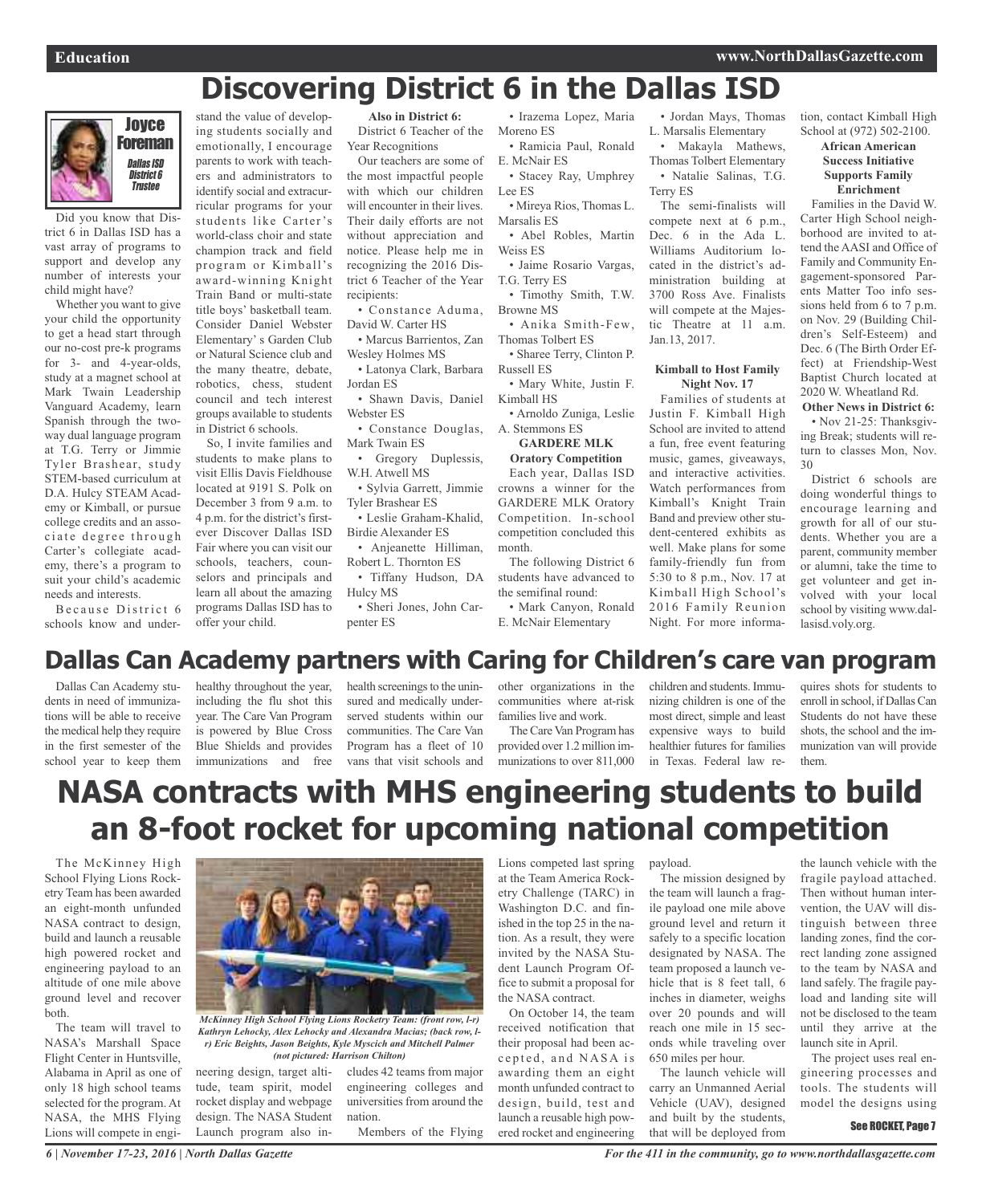# **Discovering District 6 in the Dallas ISD**



Did you know that District 6 in Dallas ISD has a vast array of programs to support and develop any number of interests your child might have?

Whether you want to give your child the opportunity to get a head start through our no-cost pre-k programs for 3- and 4-year-olds, study at a magnet school at Mark Twain Leadership Vanguard Academy, learn Spanish through the twoway dual language program at T.G. Terry or Jimmie Tyler Brashear, study STEM-based curriculum at D.A. Hulcy STEAM Academy or Kimball, or pursue college credits and an associate degree through Carter's collegiate academy, there's a program to suit your child's academic needs and interests.

Because District 6 schools know and under-

stand the value of developing students socially and emotionally, I encourage parents to work with teachers and administrators to identify social and extracurricular programs for your students like Carter's world-class choir and state champion track and field program or Kimball's award-winning Knight Train Band or multi-state title boys' basketball team. Consider Daniel Webster Elementary' s Garden Club or Natural Science club and the many theatre, debate, robotics, chess, student council and tech interest groups available to students in District 6 schools.

So, I invite families and students to make plans to visit Ellis Davis Fieldhouse located at 9191 S. Polk on December 3 from 9 a.m. to 4 p.m. for the district's firstever Discover Dallas ISD Fair where you can visit our schools, teachers, counselors and principals and learn all about the amazing programs Dallas ISD has to offer your child.

**Also in District 6:**

District 6 Teacher of the Year Recognitions

Our teachers are some of the most impactful people with which our children will encounter in their lives. Their daily efforts are not without appreciation and notice. Please help me in recognizing the 2016 District 6 Teacher of the Year recipients:

• Constance Aduma, David W. Carter HS

• Marcus Barrientos, Zan Wesley Holmes MS

• Latonya Clark, Barbara Jordan ES

• Shawn Davis, Daniel Webster ES

• Constance Douglas, Mark Twain ES

• Gregory Duplessis, W.H. Atwell MS

• Sylvia Garrett, Jimmie Tyler Brashear ES • Leslie Graham-Khalid,

Birdie Alexander ES • Anjeanette Hilliman,

Robert L. Thornton ES • Tiffany Hudson, DA

Hulcy MS • Sheri Jones, John Car-

penter ES

• Irazema Lopez, Maria Moreno ES

• Ramicia Paul, Ronald E. McNair ES • Stacey Ray, Umphrey

Lee ES • Mireya Rios, Thomas L. Marsalis ES

• Abel Robles, Martin Weiss ES

• Jaime Rosario Vargas,

T.G. Terry ES • Timothy Smith, T.W.

Browne MS • Anika Smith-Few,

Thomas Tolbert ES • Sharee Terry, Clinton P. Russell ES

• Mary White, Justin F.

Kimball HS • Arnoldo Zuniga, Leslie

A. Stemmons ES **GARDERE MLK**

**Oratory Competition** Each year, Dallas ISD

crowns a winner for the GARDERE MLK Oratory Competition. In-school competition concluded this month.

The following District 6 students have advanced to the semifinal round: • Mark Canyon, Ronald

E. McNair Elementary

• Jordan Mays, Thomas L. Marsalis Elementary

• Makayla Mathews, Thomas Tolbert Elementary • Natalie Salinas, T.G. Terry ES

The semi-finalists will compete next at 6 p.m., Dec. 6 in the Ada L. Williams Auditorium located in the district's administration building at 3700 Ross Ave. Finalists will compete at the Majestic Theatre at 11 a.m. Jan.13, 2017.

#### **Kimball to Host Family Night Nov. 17**

Families of students at Justin F. Kimball High School are invited to attend a fun, free event featuring music, games, giveaways, and interactive activities. Watch performances from Kimball's Knight Train Band and preview other student-centered exhibits as well. Make plans for some family-friendly fun from 5:30 to 8 p.m., Nov. 17 at Kimball High School's 2016 Family Reunion Night. For more informa-

children and students. Immu-

tion, contact Kimball High School at (972) 502-2100.

#### **African American Success Initiative Supports Family Enrichment**

Families in the David W. Carter High School neighborhood are invited to attend the AASI and Office of Family and Community Engagement-sponsored Parents Matter Too info sessions held from 6 to 7 p.m. on Nov. 29 (Building Children's Self-Esteem) and Dec. 6 (The Birth Order Effect) at Friendship-West Baptist Church located at 2020 W. Wheatland Rd.

**Other News in District 6:**

• Nov 21-25: Thanksgiving Break; students will return to classes Mon, Nov. 30

District 6 schools are doing wonderful things to encourage learning and growth for all of our students. Whether you are a parent, community member or alumni, take the time to get volunteer and get involved with your local school by visiting www.dallasisd.voly.org.

## **Dallas Can Academy partners with Caring for Children's care van program**

Dallas Can Academy students in need of immunizations will be able to receive the medical help they require in the first semester of the school year to keep them

healthy throughout the year, including the flu shot this year. The Care Van Program is powered by Blue Cross Blue Shields and provides

immunizations and free vans that visit schools and health screenings to the uninsured and medically underserved students within our communities. The Care Van Program has a fleet of 10

> cludes 42 teams from major engineering colleges and universities from around the

Members of the Flying

other organizations in the communities where at-risk families live and work. The Care Van Program has

Lions competed last spring at the Team America Rocketry Challenge (TARC) in

provided over 1.2 million immunizations to over 811,000 nizing children is one of the most direct, simple and least expensive ways to build healthier futures for families in Texas. Federal law re-

quires shots for students to enroll in school, if Dallas Can Students do not have these shots, the school and the immunization van will provide them.

# **NASA contracts with MHS engineering students to build an 8-foot rocket for upcoming national competition**

The McKinney High School Flying Lions Rocketry Team has been awarded an eight-month unfunded NASA contract to design, build and launch a reusable high powered rocket and engineering payload to an altitude of one mile above ground level and recover both.

The team will travel to NASA's Marshall Space Flight Center in Huntsville, Alabama in April as one of only 18 high school teams selected for the program. At NASA, the MHS Flying Lions will compete in engi-



*McKinney High School Flying Lions Rocketry Team: (front row, l-r) Kathryn Lehocky, Alex Lehocky and Alexandra Macias; (back row, lr) Eric Beights, Jason Beights, Kyle Myscich and Mitchell Palmer (not pictured: Harrison Chilton)*

nation.

neering design, target altitude, team spirit, model rocket display and webpage design. The NASA Student Launch program also in-

Washington D.C. and finished in the top 25 in the nation. As a result, they were invited by the NASA Student Launch Program Office to submit a proposal for the NASA contract. On October 14, the team

received notification that their proposal had been accepted, and NASA is awarding them an eight month unfunded contract to design, build, test and launch a reusable high powered rocket and engineering

payload.

The mission designed by the team will launch a fragile payload one mile above ground level and return it safely to a specific location designated by NASA. The team proposed a launch vehicle that is 8 feet tall, 6 inches in diameter, weighs over 20 pounds and will reach one mile in 15 seconds while traveling over 650 miles per hour.

The launch vehicle will carry an Unmanned Aerial Vehicle (UAV), designed and built by the students, that will be deployed from

the launch vehicle with the fragile payload attached. Then without human intervention, the UAV will distinguish between three landing zones, find the correct landing zone assigned to the team by NASA and land safely. The fragile payload and landing site will not be disclosed to the team until they arrive at the launch site in April.

The project uses real engineering processes and tools. The students will model the designs using

See ROCKET, Page 7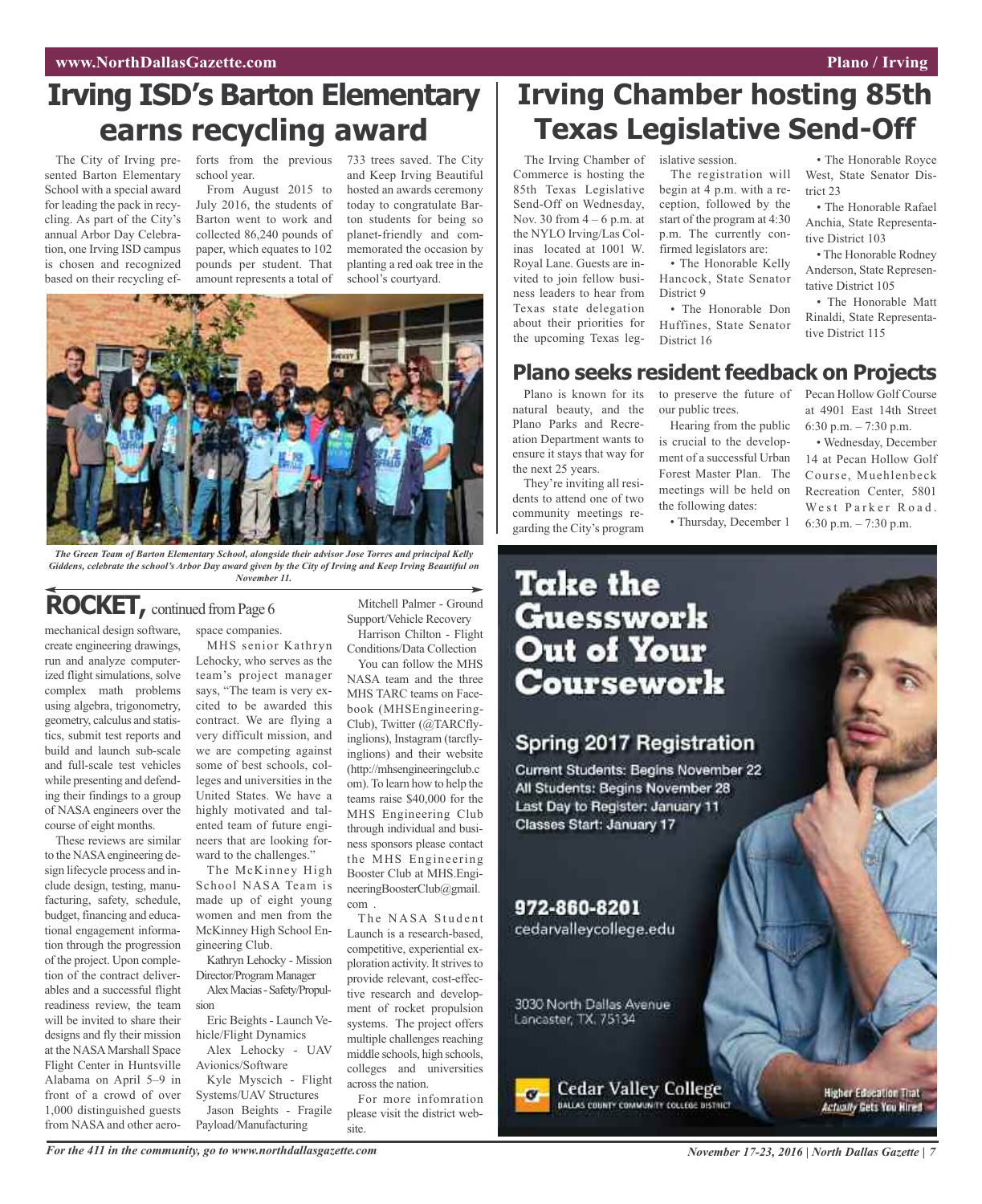### **www.NorthDallasGazette.com Plano** / **Irving**

• The Honorable Royce West, State Senator Dis-

• The Honorable Rafael Anchia, State Representa-

• The Honorable Rodney Anderson, State Represen-

• The Honorable Matt Rinaldi, State Representa-

trict 23

tive District 103

tative District 105

tive District 115

# **Irving ISD's Barton Elementary earns recycling award**

The City of Irving presented Barton Elementary School with a special award for leading the pack in recycling. As part of the City's annual Arbor Day Celebration, one Irving ISD campus is chosen and recognized based on their recycling ef-

forts from the previous 733 trees saved. The City school year.

From August 2015 to July 2016, the students of Barton went to work and collected 86,240 pounds of paper, which equates to 102 pounds per student. That amount represents a total of

and Keep Irving Beautiful hosted an awards ceremony today to congratulate Barton students for being so planet-friendly and commemorated the occasion by planting a red oak tree in the school's courtyard.



*The Green Team of Barton Elementary School, alongside their advisor Jose Torres and principal Kelly* Giddens, celebrate the school's Arbor Day award given by the City of Irving and Keep Irving Beautiful on *November 11.*

### space companies. ROCKET, continued from Page 6

mechanical design software, create engineering drawings, run and analyze computerized flight simulations, solve complex math problems using algebra, trigonometry, geometry, calculus and statistics, submit test reports and build and launch sub-scale and full-scale test vehicles while presenting and defending their findings to a group of NASA engineers over the course of eight months.

These reviews are similar to the NASAengineering design lifecycle process and include design, testing, manufacturing, safety, schedule, budget, financing and educational engagement information through the progression of the project. Upon completion of the contract deliverables and a successful flight readiness review, the team will be invited to share their designs and fly their mission at the NASAMarshall Space Flight Center in Huntsville Alabama on April 5–9 in front of a crowd of over 1,000 distinguished guests from NASA and other aeroMHS senior Kathryn

Lehocky, who serves as the team's project manager says, "The team is very excited to be awarded this contract. We are flying a very difficult mission, and we are competing against some of best schools, colleges and universities in the United States. We have a highly motivated and talented team of future engineers that are looking forward to the challenges."

The McKinney High School NASA Team is made up of eight young women and men from the McKinney High School Engineering Club.

Kathryn Lehocky - Mission Director/Program Manager

AlexMacias-Safety/Propulsion Eric Beights - Launch Ve-

hicle/Flight Dynamics Alex Lehocky - UAV

Avionics/Software Kyle Myscich - Flight

Systems/UAV Structures Jason Beights - Fragile Payload/Manufacturing

Mitchell Palmer - Ground Support/Vehicle Recovery Harrison Chilton - Flight

Conditions/Data Collection You can follow the MHS

NASA team and the three MHS TARC teams on Facebook (MHSEngineering-Club), Twitter (@TARCflyinglions), Instagram (tarcflyinglions) and their website (http://mhsengineeringclub.c om).To learn how to help the teams raise \$40,000 for the MHS Engineering Club through individual and business sponsors please contact the MHS Engineering Booster Club at MHS.EngineeringBoosterClub@gmail. com .

The NASA Student Launch is a research-based, competitive, experiential exploration activity. It strives to provide relevant, cost-effective research and development of rocket propulsion systems. The project offers multiple challenges reaching middle schools, high schools, colleges and universities across the nation.

For more infomration please visit the district website.

# **Irving Chamber hosting 85th Texas Legislative Send-Off**

The Irving Chamber of Commerce is hosting the 85th Texas Legislative Send-Off on Wednesday, Nov. 30 from  $4 - 6$  p.m. at the NYLO Irving/Las Colinas located at 1001 W. Royal Lane. Guests are invited to join fellow business leaders to hear from Texas state delegation about their priorities for the upcoming Texas leg-

islative session. The registration will begin at 4 p.m. with a reception, followed by the start of the program at 4:30 p.m. The currently confirmed legislators are:

• The Honorable Kelly Hancock, State Senator District 9

• The Honorable Don Huffines, State Senator District 16

### **Plano seeks resident feedback on Projects**

Plano is known for its natural beauty, and the Plano Parks and Recreation Department wants to ensure it stays that way for the next 25 years.

They're inviting all residents to attend one of two community meetings regarding the City's program

our public trees.

Hearing from the public is crucial to the development of a successful Urban Forest Master Plan. The meetings will be held on the following dates:

• Thursday, December 1

to preserve the future of Pecan Hollow Golf Course at 4901 East 14th Street 6:30 p.m. – 7:30 p.m.

> • Wednesday, December 14 at Pecan Hollow Golf Course, Muehlenbeck Recreation Center, 5801 West Parker Road. 6:30 p.m. – 7:30 p.m.



For the 411 in the community, go to www.northdallasgazette.com November 17-23, 2016 | North Dallas Gazette | 7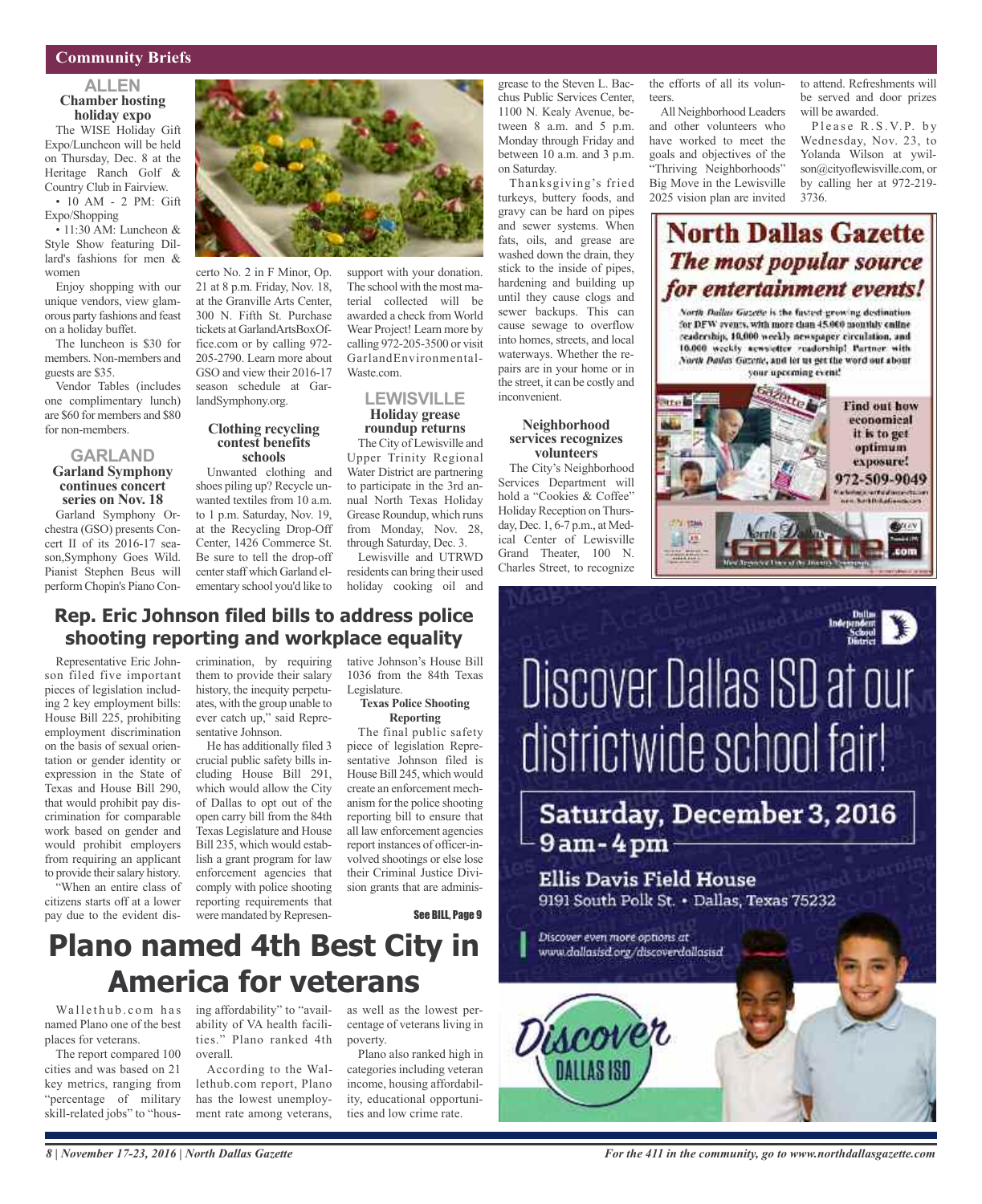### **Community Briefs**

### **ALLEN Chamber hosting holiday expo**

The WISE Holiday Gift Expo/Luncheon will be held on Thursday, Dec. 8 at the Heritage Ranch Golf & Country Club in Fairview. • 10 AM - 2 PM: Gift

Expo/Shopping

• 11:30 AM: Luncheon & Style Show featuring Dillard's fashions for men & women

Enjoy shopping with our unique vendors, view glamorous party fashions and feast on a holiday buffet.

The luncheon is \$30 for members. Non-members and guests are \$35.

Vendor Tables (includes one complimentary lunch) are \$60 for members and \$80 for non-members.

#### **GARLAND Garland Symphony continues concert series on Nov. 18**

Garland Symphony Orchestra (GSO) presents Concert II of its 2016-17 season,Symphony Goes Wild. Pianist Stephen Beus will perform Chopin's Piano Con-

Texas and House Bill 290, that would prohibit pay discrimination for comparable work based on gender and would prohibit employers from requiring an applicant to provide their salary history. "When an entire class of citizens starts off at a lower pay due to the evident dis-



certo No. 2 in F Minor, Op. 21 at 8 p.m. Friday, Nov. 18, at the Granville Arts Center, 300 N. Fifth St. Purchase tickets at GarlandArtsBoxOffice.com or by calling 972- 205-2790. Learn more about GSO and view their 2016-17 season schedule at GarlandSymphony.org.

#### **Clothing recycling contest benefits schools**

Unwanted clothing and shoes piling up? Recycle unwanted textiles from 10 a.m. to 1 p.m. Saturday, Nov. 19, at the Recycling Drop-Off Center, 1426 Commerce St. Be sure to tell the drop-off center staff which Garland elementary school you'd like to support with your donation. The school with the most material collected will be awarded a check from World Wear Project! Learn more by calling 972-205-3500 or visit GarlandEnvironmental-Waste.com

### **LEWISVILLE Holiday grease roundup returns**

The City of Lewisville and Upper Trinity Regional Water District are partnering to participate in the 3rd annual North Texas Holiday Grease Roundup, which runs from Monday, Nov. 28, through Saturday, Dec. 3.

Lewisville and UTRWD residents can bring their used holiday cooking oil and

grease to the Steven L. Bacchus Public Services Center, 1100 N. Kealy Avenue, between 8 a.m. and 5 p.m. Monday through Friday and between 10 a.m. and 3 p.m. on Saturday.

Thanksgiving's fried turkeys, buttery foods, and gravy can be hard on pipes and sewer systems. When fats, oils, and grease are washed down the drain, they stick to the inside of pipes, hardening and building up until they cause clogs and sewer backups. This can cause sewage to overflow into homes, streets, and local waterways. Whether the repairs are in your home or in the street, it can be costly and inconvenient.

### **Neighborhood services recognizes volunteers**

The City's Neighborhood Services Department will hold a "Cookies & Coffee" Holiday Reception onThursday, Dec. 1, 6-7 p.m., at Medical Center of Lewisville Grand Theater, 100 N. Charles Street, to recognize the efforts of all its volunteers.

All Neighborhood Leaders and other volunteers who have worked to meet the goals and objectives of the Thriving Neighborhoods" Big Move in the Lewisville 2025 vision plan are invited to attend. Refreshments will be served and door prizes will be awarded.

Please R.S.V.P. by Wednesday, Nov. 23, to Yolanda Wilson at ywilson@cityoflewisville.com, or by calling her at 972-219- 3736.

### **North Dallas Gazette** The most popular source for entertainment events! **North Dallas Gazette is the fastest growing destination** for DFW events, with more than 45.000 monthly enline readership, 10,000 weekly newspaper circulation, and 10.000 weekly acresietter readership! Partner with North Dailas Gazette, and let us get the word out about your upcoming event! Find out how economical it is to get optimum exposure! 972-509-9049 min withdategover TEM 当些

### **Rep. Eric Johnson filed bills to address police shooting reporting and workplace equality** tative Johnson's House Bill 1036 from the 84th Texas Legislature. **Texas Police Shooting**

Representative Eric Johnson filed five important pieces of legislation including 2 key employment bills: House Bill 225, prohibiting employment discrimination on the basis of sexual orientation or gender identity or expression in the State of crimination, by requiring them to provide their salary history, the inequity perpetuates, with the group unable to ever catch up," said Representative Johnson. He has additionally filed 3 crucial public safety bills in-

cluding House Bill 291, which would allow the City of Dallas to opt out of the open carry bill from the 84th Texas Legislature and House Bill 235, which would establish a grant program for law enforcement agencies that comply with police shooting reporting requirements that were mandated by Represen-

## **Reporting**

The final public safety piece of legislation Representative Johnson filed is House Bill 245, which would create an enforcement mechanism for the police shooting reporting bill to ensure that all law enforcement agencies report instances of officer-involved shootings or else lose their Criminal Justice Division grants that are adminis-

See BILL, Page 9

# **Plano named 4th Best City in America for veterans**

named Plano one of the best places for veterans.

The report compared 100 cities and was based on 21 key metrics, ranging from "percentage of military skill-related jobs" to "hous-

Wallethub.com has ing affordability" to "avail- as well as the lowest perability of VA health facilities." Plano ranked 4th overall.

> According to the Wallethub.com report, Plano has the lowest unemployment rate among veterans,

centage of veterans living in poverty.

Plano also ranked high in categories including veteran income, housing affordability, educational opportunities and low crime rate.



*For the 411 in the community, go to www.northdallasgazette.com*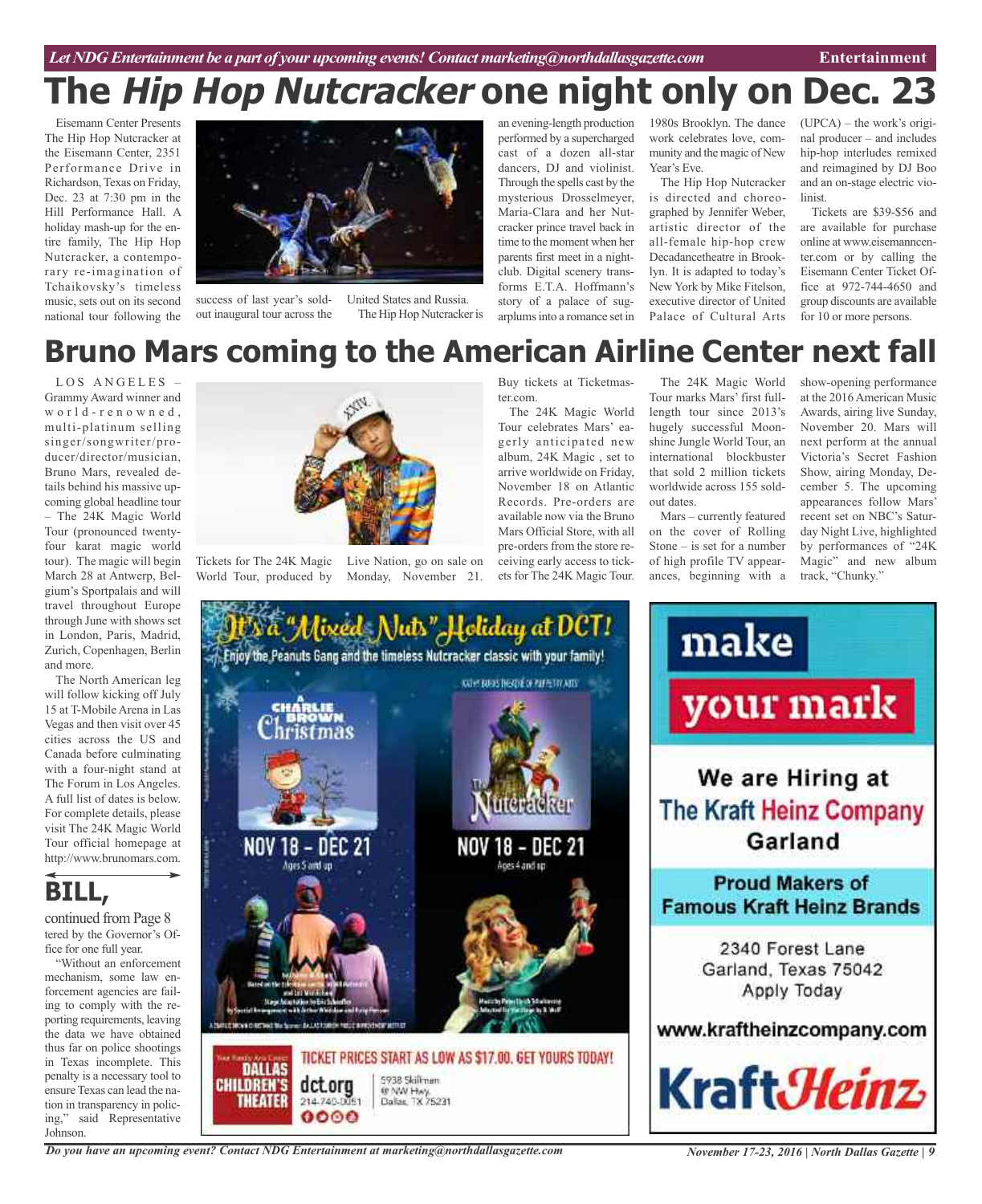# **The Hip Hop Nutcracker one night only on Dec. 23**

Eisemann Center Presents The Hip Hop Nutcracker at the Eisemann Center, 2351 Performance Drive in Richardson, Texas on Friday, Dec. 23 at 7:30 pm in the Hill Performance Hall. A holiday mash-up for the entire family, The Hip Hop Nutcracker, a contemporary re-imagination of Tchaikovsky's timeless music, sets out on its second national tour following the



success of last year's soldout inaugural tour across the

United States and Russia. The Hip Hop Nutcracker is

an evening-length production performed by a supercharged cast of a dozen all-star dancers, DJ and violinist. Through the spells cast by the mysterious Drosselmeyer, Maria-Clara and her Nutcracker prince travel back in time to the moment when her parents first meet in a nightclub. Digital scenery transforms E.T.A. Hoffmann's story of a palace of sugarplumsinto a romance set in

1980s Brooklyn. The dance work celebrates love, community and the magic of New Year's Eve.

The Hip Hop Nutcracker is directed and choreographed by Jennifer Weber, artistic director of the all-female hip-hop crew Decadancetheatre in Brooklyn. It is adapted to today's New York by Mike Fitelson, executive director of United Palace of Cultural Arts

(UPCA) – the work's original producer – and includes hip-hop interludes remixed and reimagined by DJ Boo and an on-stage electric violinist.

Tickets are \$39-\$56 and are available for purchase online at www.eisemanncenter.com or by calling the Eisemann Center Ticket Office at 972-744-4650 and group discounts are available for 10 or more persons.

# **Bruno Mars coming to the American Airline Center next fall**

LOS ANGELES – Grammy Award winner and w o r l d - r e n o w n e d , multi-platinum selling singer/songwriter/producer/director/musician, Bruno Mars, revealed details behind his massive upcoming global headline tour – The 24K Magic World Tour (pronounced twentyfour karat magic world tour). The magic will begin March 28 at Antwerp, Belgium's Sportpalais and will travel throughout Europe through June with shows set in London, Paris, Madrid, Zurich, Copenhagen, Berlin and more.

The North American leg will follow kicking off July 15 at T-Mobile Arena in Las Vegas and then visit over 45 cities across the US and Canada before culminating with a four-night stand at The Forum in Los Angeles. A full list of dates is below. For complete details, please visit The 24K Magic World Tour official homepage at http://www.brunomars.com.



tered by the Governor's Office for one full year. continued from Page 8

"Without an enforcement mechanism, some law enforcement agencies are failing to comply with the reporting requirements, leaving the data we have obtained thus far on police shootings in Texas incomplete. This penalty is a necessary tool to ensure Texas can lead the nation in transparency in policing," said Representative Johnson.



World Tour, produced by

Tickets for The 24K Magic Live Nation, go on sale on Monday, November 21.

Buy tickets at Ticketmaster.com.

The 24K Magic World Tour celebrates Mars' eagerly anticipated new album, 24K Magic , set to arrive worldwide on Friday, November 18 on Atlantic Records. Pre-orders are available now via the Bruno Mars Official Store, with all pre-orders from the store receiving early access to tickets for The 24K Magic Tour.

The 24K Magic World Tour marks Mars' first fulllength tour since 2013's hugely successful Moonshine Jungle World Tour, an international blockbuster that sold 2 million tickets worldwide across 155 soldout dates.

Mars – currently featured on the cover of Rolling Stone – is set for a number of high profile TV appearances, beginning with a show-opening performance at the 2016 American Music Awards, airing live Sunday, November 20. Mars will next perform at the annual Victoria's Secret Fashion Show, airing Monday, December 5. The upcoming appearances follow Mars' recent set on NBC's Saturday Night Live, highlighted by performances of "24K Magic" and new album track, "Chunky."



make your mark We are Hiring at The Kraft Heinz Company Garland **Proud Makers of Famous Kraft Heinz Brands** 2340 Forest Lane Garland, Texas 75042 Apply Today www.kraftheinzcompany.com

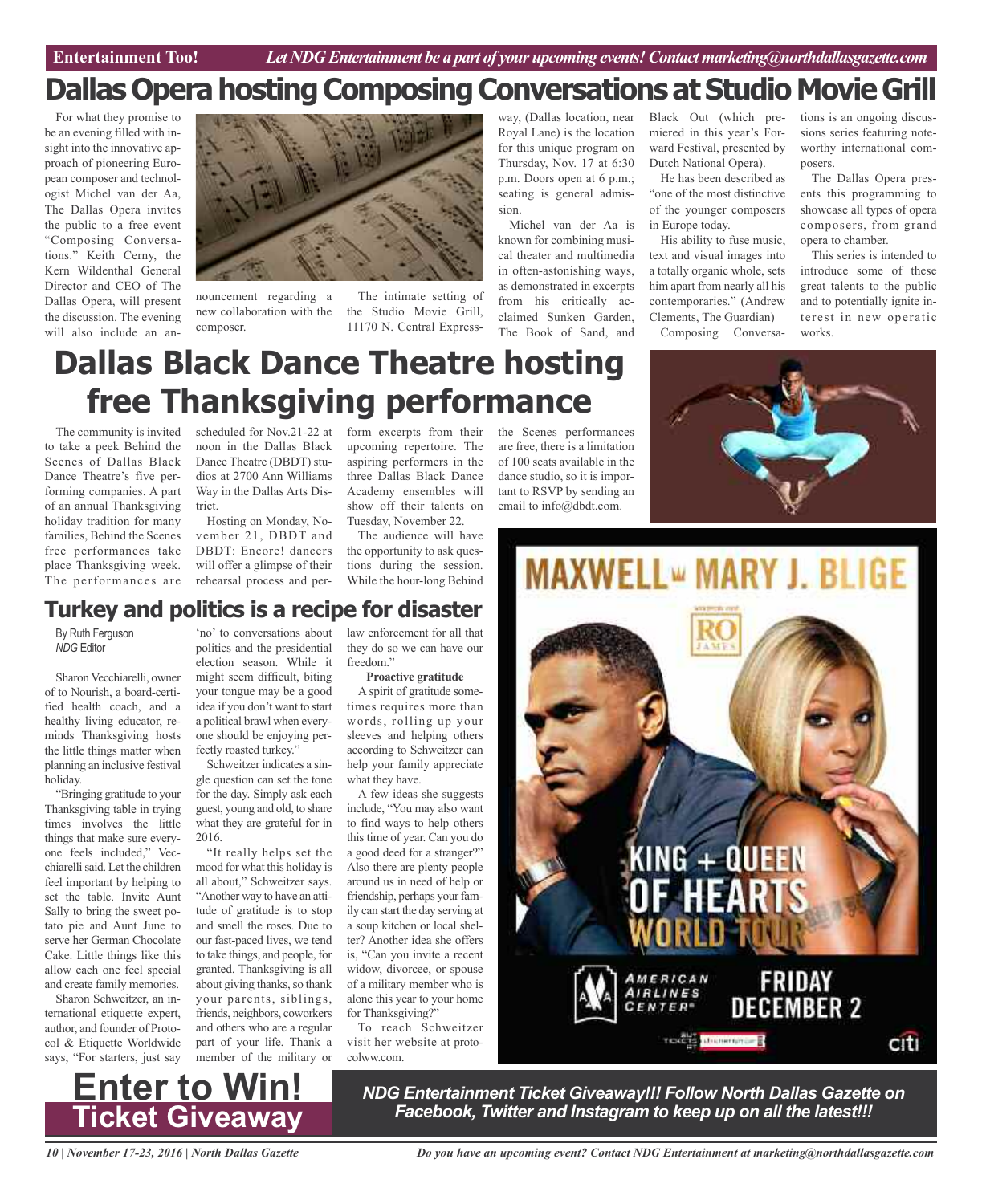# **Dallas Opera hosting Composing Conversations at Studio Movie Grill**

For what they promise to be an evening filled with insight into the innovative approach of pioneering European composer and technologist Michel van der Aa, The Dallas Opera invites the public to a free event "Composing Conversations." Keith Cerny, the Kern Wildenthal General Director and CEO of The Dallas Opera, will present the discussion. The evening will also include an an-



nouncement regarding a new collaboration with the composer.

The intimate setting of the Studio Movie Grill, 11170 N. Central Express-

form excerpts from their upcoming repertoire. The aspiring performers in the three Dallas Black Dance Academy ensembles will show off their talents on Tuesday, November 22. The audience will have the opportunity to ask questions during the session. While the hour-long Behind

way, (Dallas location, near Royal Lane) is the location for this unique program on Thursday, Nov. 17 at 6:30 p.m. Doors open at 6 p.m.; seating is general admission.

Michel van der Aa is known for combining musical theater and multimedia in often-astonishing ways, as demonstrated in excerpts from his critically acclaimed Sunken Garden, The Book of Sand, and

Black Out (which premiered in this year's Forward Festival, presented by Dutch National Opera).

He has been described as "one of the most distinctive of the younger composers in Europe today.

His ability to fuse music, text and visual images into a totally organic whole, sets him apart from nearly all his contemporaries." (Andrew Clements, The Guardian) Composing Conversa-

tions is an ongoing discussions series featuring noteworthy international composers.

The Dallas Opera presents this programming to showcase all types of opera composers, from grand opera to chamber.

This series is intended to introduce some of these great talents to the public and to potentially ignite interest in new operatic works.

# **Dallas Black Dance Theatre hosting free Thanksgiving performance**

The community is invited to take a peek Behind the Scenes of Dallas Black Dance Theatre's five performing companies. A part of an annual Thanksgiving holiday tradition for many families, Behind the Scenes free performances take place Thanksgiving week. The performances are

scheduled for Nov.21-22 at noon in the Dallas Black Dance Theatre (DBDT) studios at 2700 Ann Williams Way in the Dallas Arts District.

Hosting on Monday, November 21, DBDT and DBDT: Encore! dancers will offer a glimpse of their rehearsal process and per-

## **Turkey and politics is a recipe for disaster**

By Ruth Ferguson *NDG* Editor

Sharon Vecchiarelli, owner of to Nourish, a board-certified health coach, and a healthy living educator, reminds Thanksgiving hosts the little things matter when planning an inclusive festival holiday.

"Bringing gratitude to your Thanksgiving table in trying times involves the little things that make sure everyone feels included," Vecchiarellisaid. Let the children feel important by helping to set the table. Invite Aunt Sally to bring the sweet potato pie and Aunt June to serve her German Chocolate Cake. Little things like this allow each one feel special and create family memories.

Sharon Schweitzer, an international etiquette expert, author, and founder of Protocol & Etiquette Worldwide says, "For starters, just say

'no' to conversations about politics and the presidential election season. While it might seem difficult, biting your tongue may be a good idea if you don't want to start a political brawl when everyone should be enjoying perfectly roasted turkey."

Schweitzer indicates a single question can set the tone for the day. Simply ask each guest, young and old, to share what they are grateful for in 2016.

"It really helps set the mood for what this holiday is all about," Schweitzer says. "Another way to have an attitude of gratitude is to stop and smell the roses. Due to our fast-paced lives, we tend to take things, and people, for granted. Thanksgiving is all about giving thanks, so thank your parents, siblings, friends, neighbors, coworkers and others who are a regular part of your life. Thank a member of the military or law enforcement for all that they do so we can have our freedom."

**Proactive gratitude**

A spirit of gratitude sometimes requires more than words, rolling up your sleeves and helping others according to Schweitzer can help your family appreciate what they have.

A few ideas she suggests include, "You may also want to find ways to help others this time of year. Can you do a good deed for a stranger?" Also there are plenty people around us in need of help or friendship, perhaps your family can start the day serving at a soup kitchen or local shelter? Another idea she offers is, "Can you invite a recent widow, divorcee, or spouse of a military member who is alone this year to your home for Thanksgiving?"

To reach Schweitzer visit her website at protocolww.com.

the Scenes performances are free, there is a limitation of 100 seats available in the dance studio, so it is important to RSVP by sending an email to info@dbdt.com.



**MAXWELL**<sup>w</sup> MARY J. BLIGE





*NDG Entertainment Ticket Giveaway!!! Follow North Dallas Gazette on Facebook, Twitter and Instagram to keep up on all the latest!!!*

*10 | November 17-23, 2016 | North Dallas Gazette*

*Do you have an upcoming event? Contact NDG Entertainment at marketing@northdallasgazette.com*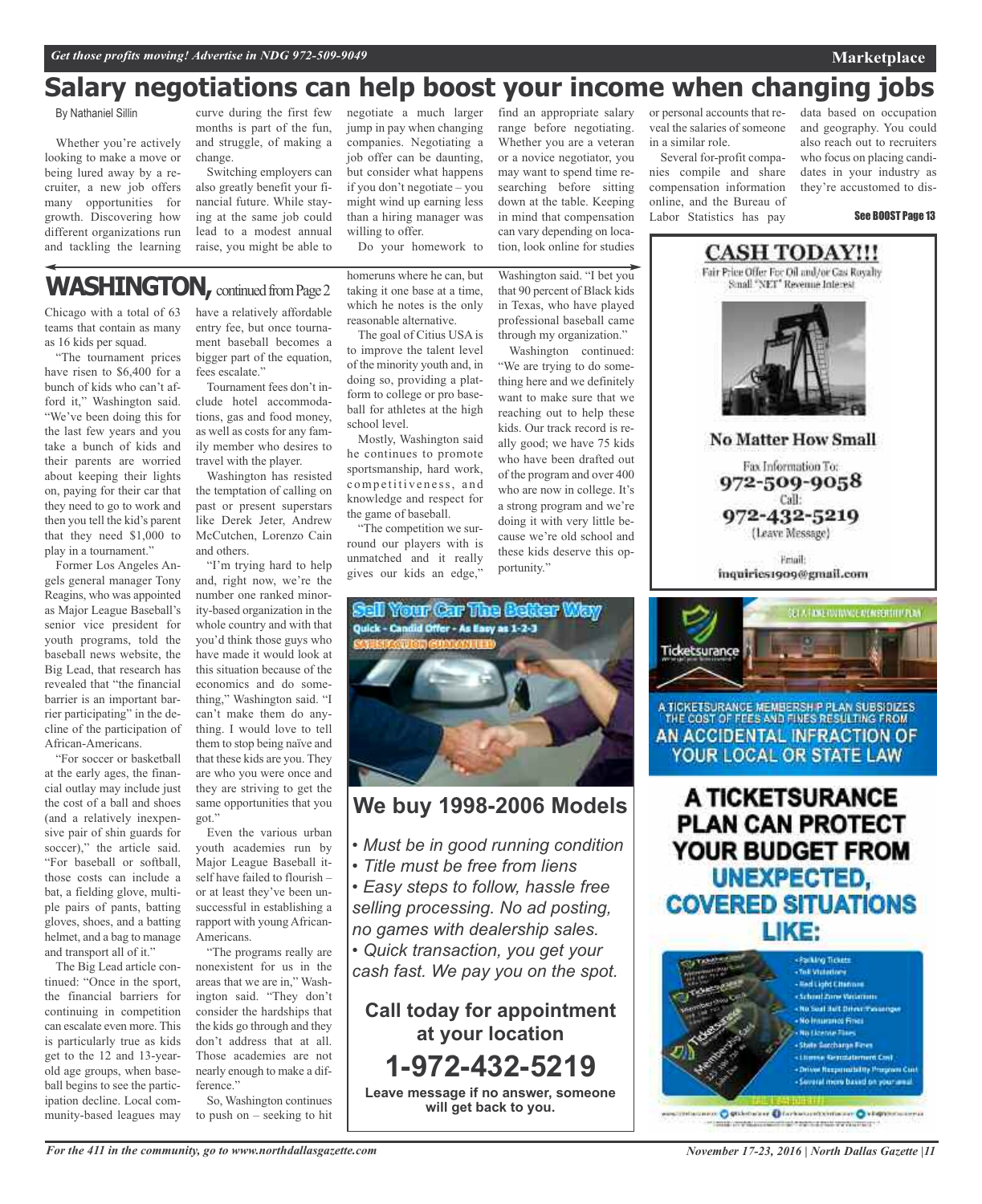## **Salary negotiations can help boost your income when changing jobs**

By Nathaniel Sillin

Whether you're actively looking to make a move or being lured away by a recruiter, a new job offers many opportunities for growth. Discovering how different organizations run and tackling the learning

curve during the first few months is part of the fun, and struggle, of making a change.

Switching employers can also greatly benefit your financial future. While staying at the same job could lead to a modest annual raise, you might be able to

have a relatively affordable entry fee, but once tournament baseball becomes a bigger part of the equation,

Tournament fees don't include hotel accommodations, gas and food money, as well as costs for any family member who desires to travel with the player.

Washington has resisted the temptation of calling on past or present superstars like Derek Jeter, Andrew McCutchen, Lorenzo Cain

"I'm trying hard to help and, right now, we're the number one ranked minority-based organization in the whole country and with that you'd think those guys who have made it would look at this situation because of the economics and do something," Washington said. "I can't make them do anything. I would love to tell them to stop being naïve and that these kids are you. They are who you were once and they are striving to get the

fees escalate."

and others.

negotiate a much larger jump in pay when changing companies. Negotiating a job offer can be daunting, but consider what happens if you don't negotiate – you might wind up earning less than a hiring manager was willing to offer.

Do your homework to

homeruns where he can, but taking it one base at a time, which he notes is the only reasonable alternative. The goal of Citius USA is to improve the talent level of the minority youth and, in doing so, providing a platform to college or pro baseball for athletes at the high

Mostly, Washington said he continues to promote sportsmanship, hard work, competitiveness, and knowledge and respect for the game of baseball.

"The competition we surround our players with is unmatched and it really gives our kids an edge,"

school level.

may want to spend time researching before sitting down at the table. Keeping in mind that compensation can vary depending on location, look online for studies

> Washington said. "I bet you that 90 percent of Black kids in Texas, who have played professional baseball came through my organization."

find an appropriate salary range before negotiating. Whether you are a veteran or a novice negotiator, you

Washington continued: "We are trying to do something here and we definitely want to make sure that we reaching out to help these kids. Our track record is really good; we have 75 kids who have been drafted out of the program and over 400 who are now in college. It's a strong program and we're doing it with very little because we're old school and these kids deserve this opportunity."



## **We buy 1998-2006 Models**

- *• Must be in good running condition*
- *• Title must be free from liens*

*• Easy steps to follow, hassle free selling processing. No ad posting, no games with dealership sales.*

*• Quick transaction, you get your cash fast. We pay you on the spot.*

**Call today for appointment at your location 1-972-432-5219 Leave message if no answer, someone will get back to you.**

or personal accounts that reveal the salaries of someone in a similar role.

Several for-profit companies compile and share compensation information online, and the Bureau of Labor Statistics has pay

data based on occupation and geography. You could also reach out to recruiters who focus on placing candidates in your industry as they're accustomed to dis-

#### See BOOST Page 13



**No Matter How Small** 

Fax Information To: 972-509-9058 Call: 972-432-5219 (Leave Message)

**Email** inquiries1909@gmail.com



A TICKETSURANCE MEMBERSH P PLAN SUBSIDIZES THE COST OF FEES AND FINES RESULTING FROM AN ACCIDENTAL INFRACTION OF YOUR LOCAL OR STATE LAW

A TICKETSURANCE **PLAN CAN PROTECT** YOUR BUDGET FROM UNEXPECTED, **COVERED SITUATIONS** LIKE:



miscanno O gittebalane Dinebaltominenen O kilopomiaarraa make produce committed it replications we want to the

## WASHINGTON, continued from Page 2

Chicago with a total of 63 teams that contain as many as 16 kids per squad.

"The tournament prices have risen to \$6,400 for a bunch of kids who can't afford it," Washington said. "We've been doing this for the last few years and you take a bunch of kids and their parents are worried about keeping their lights on, paying for their car that they need to go to work and then you tell the kid's parent that they need \$1,000 to play in a tournament."

Former Los Angeles Angels general manager Tony Reagins, who was appointed as Major League Baseball's senior vice president for youth programs, told the baseball news website, the Big Lead, that research has revealed that "the financial barrier is an important barrier participating" in the decline of the participation of African-Americans.

"For soccer or basketball at the early ages, the financial outlay may include just the cost of a ball and shoes (and a relatively inexpensive pair of shin guards for soccer)," the article said. "For baseball or softball, those costs can include a bat, a fielding glove, multiple pairs of pants, batting gloves, shoes, and a batting helmet, and a bag to manage and transport all of it."

The Big Lead article continued: "Once in the sport, the financial barriers for continuing in competition can escalate even more. This is particularly true as kids get to the 12 and 13-yearold age groups, when baseball begins to see the participation decline. Local community-based leagues may

same opportunities that you got." Even the various urban youth academies run by Major League Baseball itself have failed to flourish – or at least they've been unsuccessful in establishing a rapport with young African-

Americans. "The programs really are nonexistent for us in the areas that we are in," Washington said. "They don't consider the hardships that the kids go through and they don't address that at all. Those academies are not nearly enough to make a difference."

So, Washington continues to push on – seeking to hit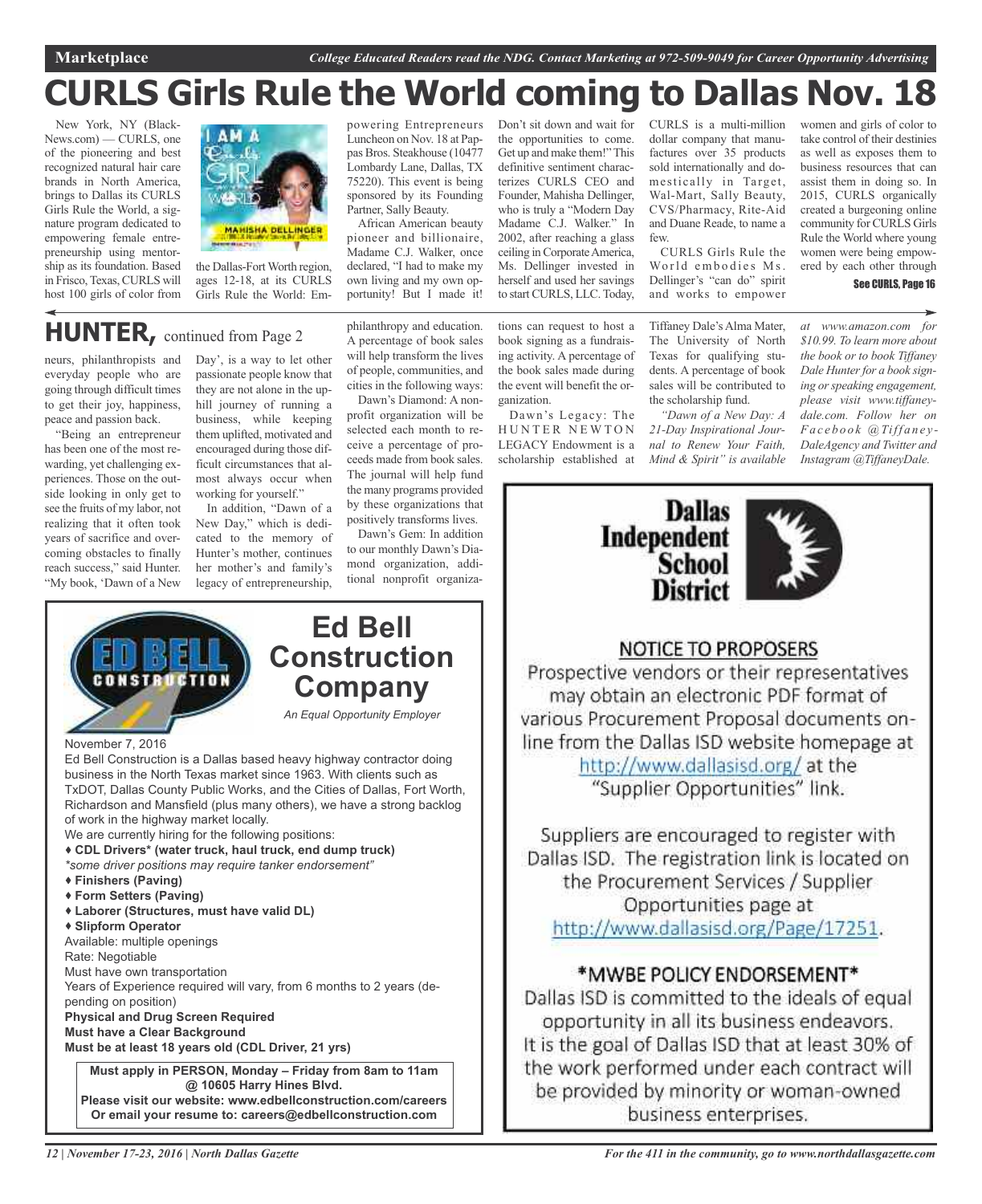**Marketplace** *College Educated Readers read the NDG. Contact Marketing at 972-509-9049 for Career Opportunity Advertising*

# **CURLS** Girls Rule the World coming to Dallas Nov.

New York, NY (Black-News.com) — CURLS, one of the pioneering and best recognized natural hair care brands in North America, brings to Dallas its CURLS Girls Rule the World, a signature program dedicated to empowering female entrepreneurship using mentorship as its foundation. Based in Frisco, Texas, CURLS will host 100 girls of color from



the Dallas-Fort Worth region, ages 12-18, at its CURLS Girls Rule the World: Empowering Entrepreneurs Luncheon on Nov. 18 at Pappas Bros. Steakhouse (10477 Lombardy Lane, Dallas, TX 75220). This event is being sponsored by its Founding Partner, Sally Beauty.

African American beauty pioneer and billionaire, Madame C.J. Walker, once declared, "I had to make my own living and my own opportunity! But I made it!

Don't sit down and wait for the opportunities to come. Get up and make them!" This definitive sentiment characterizes CURLS CEO and Founder, Mahisha Dellinger, who is truly a "Modern Day Madame C.J. Walker." In 2002, after reaching a glass ceiling inCorporateAmerica, Ms. Dellinger invested in herself and used her savings to start CURLS, LLC.Today,

tions can request to host a book signing as a fundraising activity. A percentage of the book sales made during the event will benefit the or-

Dawn's Legacy: The HUNTER NEWTON LEGACY Endowment is a scholarship established at

ganization.

CURLS is a multi-million dollar company that manufactures over 35 products sold internationally and domestically in Target, Wal-Mart, Sally Beauty, CVS/Pharmacy, Rite-Aid and Duane Reade, to name a few.

CURLS Girls Rule the World embodies Ms. Dellinger's "can do" spirit and works to empower

Tiffaney Dale'sAlma Mater, The University of North Texas for qualifying students. A percentage of book sales will be contributed to the scholarship fund.

*"Dawn of a New Day: A 21-Day Inspirational Journal to Renew Your Faith, Mind & Spirit" is available*

**Dallas** 

**School** 

**District** 

Independent

women and girls of color to take control of their destinies as well as exposes them to business resources that can assist them in doing so. In 2015, CURLS organically created a burgeoning online community for CURLS Girls Rule the World where young women were being empowered by each other through

See CURLS, Page 16

*at www.amazon.com for \$10.99. To learn more about the book or to book Tiffaney Dale Hunterfor a book signing orspeaking engagement, please visit www.tiffaneydale.com. Follow her on Fa c e b o o k @Tiff a n e y - DaleAgency and Twitter and Instagram @TiffaneyDale.*

## **HUNTER,** continued from Page <sup>2</sup>

neurs, philanthropists and everyday people who are going through difficult times to get their joy, happiness, peace and passion back.

"Being an entrepreneur has been one of the most rewarding, yet challenging experiences. Those on the outside looking in only get to see the fruits of my labor, not realizing that it often took years of sacrifice and overcoming obstacles to finally reach success," said Hunter. "My book, 'Dawn of a New

Day', is a way to let other passionate people know that they are not alone in the uphill journey of running a business, while keeping them uplifted, motivated and encouraged during those difficult circumstances that almost always occur when working for yourself."

In addition, "Dawn of a New Day," which is dedicated to the memory of Hunter's mother, continues her mother's and family's legacy of entrepreneurship,

philanthropy and education. A percentage of book sales will help transform the lives of people, communities, and cities in the following ways:

Dawn's Diamond: A nonprofit organization will be selected each month to receive a percentage of proceeds made from book sales. The journal will help fund the many programs provided by these organizations that positively transforms lives.

Dawn's Gem: In addition to our monthly Dawn's Diamond organization, additional nonprofit organiza-



Ed Bell Construction is a Dallas based heavy highway contractor doing business in the North Texas market since 1963. With clients such as TxDOT, Dallas County Public Works, and the Cities of Dallas, Fort Worth, Richardson and Mansfield (plus many others), we have a strong backlog of work in the highway market locally.

We are currently hiring for the following positions:

- **CDL Drivers\* (water truck, haul truck, end dump truck)**
- *\*some driver positions may require tanker endorsement"*
- **Finishers (Paving)**
- **Form Setters (Paving)**
- **Laborer (Structures, must have valid DL)**
- **Slipform Operator**

Available: multiple openings

Rate: Negotiable

Must have own transportation

Years of Experience required will vary, from 6 months to 2 years (depending on position) **Physical and Drug Screen Required**

**Must have a Clear Background**

**Must be at least 18 years old (CDL Driver, 21 yrs)**

**Must apply in PERSON, Monday – Friday from 8am to 11am @ 10605 Harry Hines Blvd. Please visit our website: www.edbellconstruction.com/careers Or email your resume to: careers@edbellconstruction.com**

# **NOTICE TO PROPOSERS**

Prospective vendors or their representatives may obtain an electronic PDF format of various Procurement Proposal documents online from the Dallas ISD website homepage at http://www.dallasisd.org/ at the "Supplier Opportunities" link.

Suppliers are encouraged to register with Dallas ISD. The registration link is located on the Procurement Services / Supplier Opportunities page at http://www.dallasisd.org/Page/17251.

### \*MWBE POLICY ENDORSEMENT\*

Dallas ISD is committed to the ideals of equal opportunity in all its business endeavors. It is the goal of Dallas ISD that at least 30% of the work performed under each contract will be provided by minority or woman-owned business enterprises.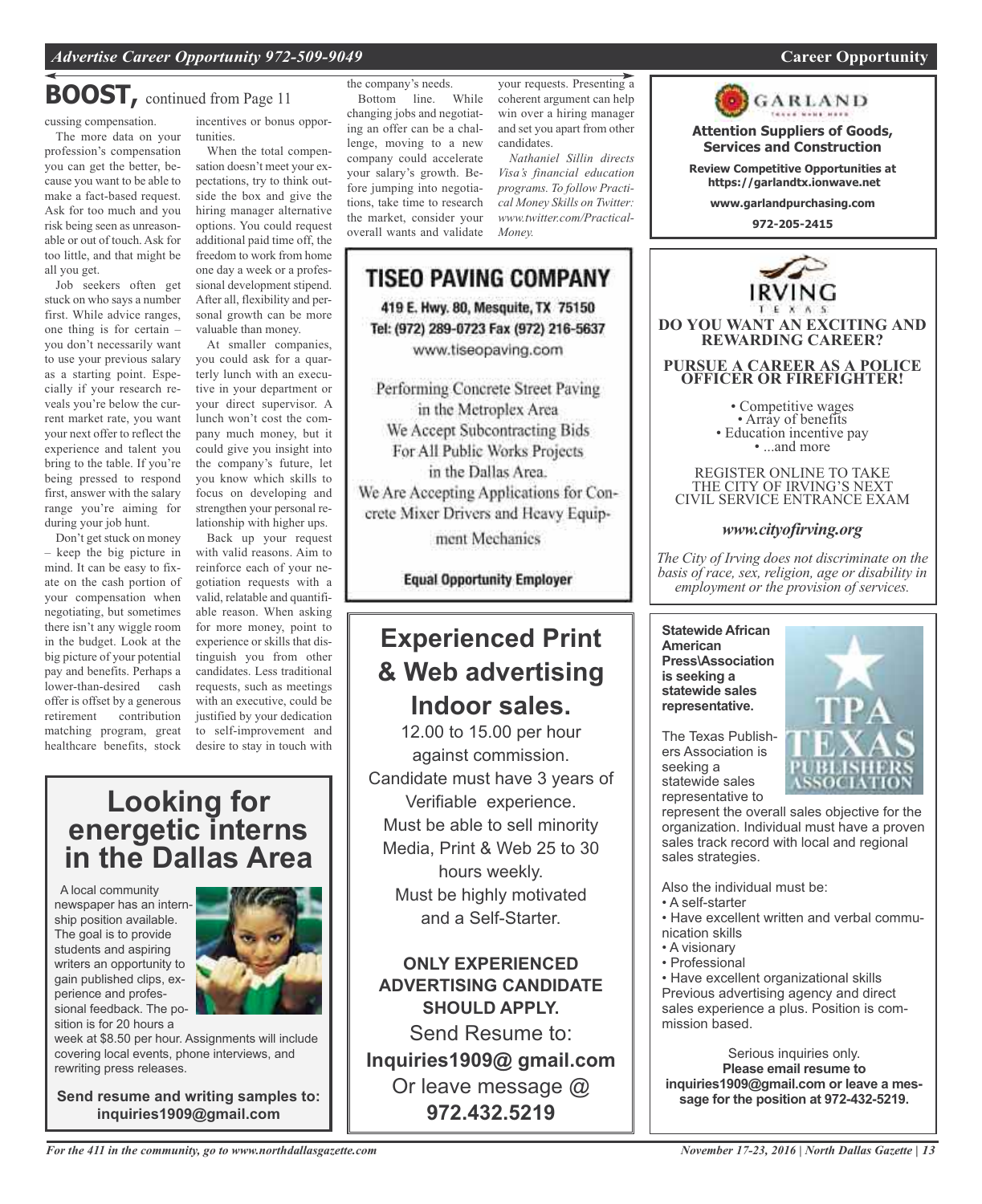## **BOOST,** continued from Page <sup>11</sup>

cussing compensation.

The more data on your profession's compensation you can get the better, because you want to be able to make a fact-based request. Ask for too much and you risk being seen as unreasonable or out of touch. Ask for too little, and that might be all you get.

Job seekers often get stuck on who says a number first. While advice ranges, one thing is for certain – you don't necessarily want to use your previous salary as a starting point. Especially if your research reveals you're below the current market rate, you want your next offer to reflect the experience and talent you bring to the table. If you're being pressed to respond first, answer with the salary range you're aiming for during your job hunt.

Don't get stuck on money – keep the big picture in mind. It can be easy to fixate on the cash portion of your compensation when negotiating, but sometimes there isn't any wiggle room in the budget. Look at the big picture of your potential pay and benefits. Perhaps a lower-than-desired cash offer is offset by a generous<br>retirement contribution contribution matching program, great healthcare benefits, stock

incentives or bonus opportunities.

When the total compensation doesn't meet your expectations, try to think outside the box and give the hiring manager alternative options. You could request additional paid time off, the freedom to work from home one day a week or a professional development stipend. After all, flexibility and personal growth can be more valuable than money.

At smaller companies, you could ask for a quarterly lunch with an executive in your department or your direct supervisor. A lunch won't cost the company much money, but it could give you insight into the company's future, let you know which skills to focus on developing and strengthen your personal relationship with higher ups.

Back up your request with valid reasons. Aim to reinforce each of your negotiation requests with a valid, relatable and quantifiable reason. When asking for more money, point to experience or skills that distinguish you from other candidates. Less traditional requests, such as meetings with an executive, could be justified by your dedication to self-improvement and desire to stay in touch with

## **Looking for energetic interns in the Dallas Area**

A local community newspaper has an internship position available. The goal is to provide students and aspiring writers an opportunity to gain published clips, experience and professional feedback. The position is for 20 hours a



week at \$8.50 per hour. Assignments will include covering local events, phone interviews, and rewriting press releases.

**Send resume and writing samples to: inquiries1909@gmail.com**

the company's needs. Bottom line. While changing jobs and negotiating an offer can be a challenge, moving to a new company could accelerate your salary's growth. Before jumping into negotiations, take time to research the market, consider your overall wants and validate

your requests. Presenting a coherent argument can help win over a hiring manager and set you apart from other candidates.

*Nathaniel Sillin directs Visa's financial education programs. To follow Practical Money Skills on Twitter: www.twitter.com/Practical-Money.*

## **TISEO PAVING COMPANY**

419 E. Hwy. 80, Mesquite, TX 75150 Tel: (972) 289-0723 Fax (972) 216-5637 www.tiseopaving.com

Performing Concrete Street Paving in the Metroplex Area We Accept Subcontracting Bids For All Public Works Projects in the Dallas Area. We Are Accepting Applications for Concrete Mixer Drivers and Heavy Equip-

ment Mechanics

**Equal Opportunity Employer** 

## **Experienced Print & Web advertising Indoor sales.**

12.00 to 15.00 per hour against commission. Candidate must have 3 years of Verifiable experience. Must be able to sell minority Media, Print & Web 25 to 30 hours weekly. Must be highly motivated and a Self-Starter.

**ONLY EXPERIENCED ADVERTISING CANDIDATE SHOULD APPLY.**

Send Resume to: **Inquiries1909@ gmail.com** Or leave message @ **972.432.5219**



**Attention Suppliers of Goods, Services and Construction**

**Review Competitive Opportunities at https://garlandtx.ionwave.net**

**www.garlandpurchasing.com**

**972-205-2415**



### *www.cityofirving.org*

*The City of Irving does not discriminate on the basis of race, sex, religion, age or disability in employment or the provision of services.*

**Statewide African American Press\Association is seeking a statewide sales representative.**



The Texas Publishers Association is seeking a statewide sales representative to

represent the overall sales objective for the organization. Individual must have a proven sales track record with local and regional sales strategies.

Also the individual must be:

- A self-starter
- Have excellent written and verbal communication skills
- A visionary
- Professional

• Have excellent organizational skills Previous advertising agency and direct sales experience a plus. Position is commission based.

Serious inquiries only. **Please email resume to inquiries1909@gmail.com or leave a message for the position at 972-432-5219.**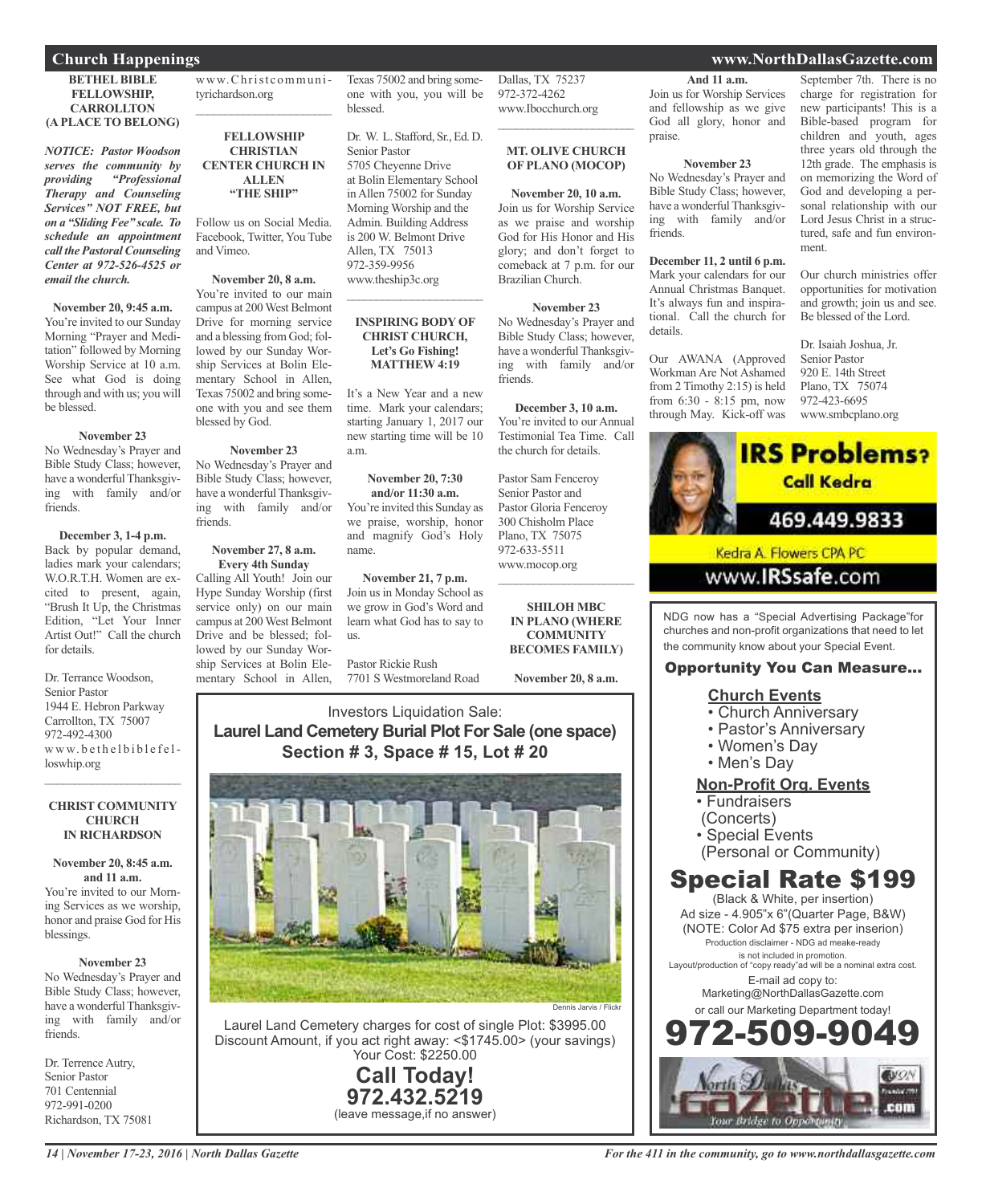#### **BETHEL BIBLE FELLOWSHIP, CARROLLTON (A PLACE TO BELONG)**

*NOTICE: Pastor Woodson serves the community by providing "Professional Therapy and Counseling Services" NOT FREE, but on a "Sliding Fee" scale. To schedule an appointment call the Pastoral Counseling Center at 972-526-4525 or email the church.*

**November 20, 9:45 a.m.** You're invited to our Sunday Morning "Prayer and Meditation" followed by Morning Worship Service at 10 a.m. See what God is doing through and with us; you will be blessed.

#### **November 23**

No Wednesday's Prayer and Bible Study Class; however, have a wonderful Thanksgiving with family and/or friends.

**December 3, 1-4 p.m.** Back by popular demand, ladies mark your calendars; W.O.R.T.H. Women are excited to present, again, "Brush It Up, the Christmas Edition, "Let Your Inner Artist Out!" Call the church for details.

Dr. Terrance Woodson, Senior Pastor 1944 E. Hebron Parkway Carrollton, TX 75007 972-492-4300 www.bethelbiblefelloswhip.org

#### **CHRIST COMMUNITY CHURCH IN RICHARDSON**

 $\overline{\phantom{a}}$  ,  $\overline{\phantom{a}}$  ,  $\overline{\phantom{a}}$  ,  $\overline{\phantom{a}}$  ,  $\overline{\phantom{a}}$  ,  $\overline{\phantom{a}}$  ,  $\overline{\phantom{a}}$  ,  $\overline{\phantom{a}}$  ,  $\overline{\phantom{a}}$  ,  $\overline{\phantom{a}}$  ,  $\overline{\phantom{a}}$  ,  $\overline{\phantom{a}}$  ,  $\overline{\phantom{a}}$  ,  $\overline{\phantom{a}}$  ,  $\overline{\phantom{a}}$  ,  $\overline{\phantom{a}}$ 

**November 20, 8:45 a.m. and 11 a.m.** You're invited to our Morning Services as we worship, honor and praise God for His blessings.

### **November 23**

No Wednesday's Prayer and Bible Study Class; however, have a wonderful Thanksgiving with family and/or friends.

Dr. Terrence Autry, Senior Pastor 701 Centennial 972-991-0200 Richardson, TX 75081

www.Christcommunityrichardson.org  $\mathcal{L}_\text{max}$  , where  $\mathcal{L}_\text{max}$  and  $\mathcal{L}_\text{max}$ 

**FELLOWSHIP CHRISTIAN CENTER CHURCH IN ALLEN "THE SHIP"**

Follow us on Social Media. Facebook, Twitter, You Tube and Vimeo.

**November 20, 8 a.m.**

You're invited to our main campus at 200West Belmont Drive for morning service and a blessing from God; followed by our Sunday Worship Services at Bolin Elementary School in Allen, Texas 75002 and bring someone with you and see them blessed by God.

#### **November 23**

No Wednesday's Prayer and Bible Study Class; however, have a wonderful Thanksgiving with family and/or friends.

### **November 27, 8 a.m. Every 4th Sunday**

Calling All Youth! Join our Hype Sunday Worship (first service only) on our main campus at 200West Belmont Drive and be blessed; followed by our Sunday Worship Services at Bolin Elementary School in Allen, Texas 75002 and bring someone with you, you will be blessed.

Dr. W. L. Stafford, Sr., Ed. D. Senior Pastor 5705 Cheyenne Drive at Bolin Elementary School in Allen 75002 for Sunday Morning Worship and the Admin. Building Address is 200 W. Belmont Drive Allen, TX 75013 972-359-9956 www.theship3c.org  $\overline{\phantom{a}}$  ,  $\overline{\phantom{a}}$  ,  $\overline{\phantom{a}}$  ,  $\overline{\phantom{a}}$  ,  $\overline{\phantom{a}}$  ,  $\overline{\phantom{a}}$  ,  $\overline{\phantom{a}}$  ,  $\overline{\phantom{a}}$  ,  $\overline{\phantom{a}}$  ,  $\overline{\phantom{a}}$  ,  $\overline{\phantom{a}}$  ,  $\overline{\phantom{a}}$  ,  $\overline{\phantom{a}}$  ,  $\overline{\phantom{a}}$  ,  $\overline{\phantom{a}}$  ,  $\overline{\phantom{a}}$ 

#### **INSPIRING BODY OF CHRIST CHURCH, Let's Go Fishing! MATTHEW 4:19**

It's a New Year and a new time. Mark your calendars; starting January 1, 2017 our new starting time will be 10 a.m.

**November 20, 7:30 and/or 11:30 a.m.** You're invited this Sunday as we praise, worship, honor and magnify God's Holy name.

**November 21, 7 p.m.** Join us in Monday School as we grow in God's Word and learn what God has to say to us.

Pastor Rickie Rush 7701 S Westmoreland Road

Dallas, TX 75237 972-372-4262 www.Ibocchurch.org  $\overline{\phantom{a}}$  , and the set of the set of the set of the set of the set of the set of the set of the set of the set of the set of the set of the set of the set of the set of the set of the set of the set of the set of the s

### **MT. OLIVE CHURCH OF PLANO (MOCOP)**

**November 20, 10 a.m.** Join us for Worship Service as we praise and worship God for His Honor and His glory; and don't forget to comeback at 7 p.m. for our Brazilian Church.

#### **November 23**

No Wednesday's Prayer and Bible Study Class; however, have a wonderful Thanksgiving with family and/or friends.

**December 3, 10 a.m.** You're invited to our Annual Testimonial Tea Time. Call the church for details.

Pastor Sam Fenceroy Senior Pastor and Pastor Gloria Fenceroy 300 Chisholm Place Plano, TX 75075 972-633-5511 www.mocop.org

**SHILOH MBC IN PLANO (WHERE COMMUNITY BECOMES FAMILY)**

 $\mathcal{L}_\text{max}$  , where  $\mathcal{L}_\text{max}$  and  $\mathcal{L}_\text{max}$ 

**November 20, 8 a.m.**

Investors Liquidation Sale: **Laurel Land Cemetery Burial Plot For Sale (one space) Section # 3, Space # 15, Lot # 20**



Laurel Land Cemetery charges for cost of single Plot: \$3995.00 Discount Amount, if you act right away: <\$1745.00> (your savings) Your Cost: \$2250.00

> **Call Today! 972.432.5219** (leave message,if no answer)

**And 11 a.m.** Join us for Worship Services and fellowship as we give God all glory, honor and praise.

### **November 23**

No Wednesday's Prayer and Bible Study Class; however, have a wonderful Thanksgiving with family and/or friends.

#### **December 11, 2 until 6 p.m.**

Mark your calendars for our Annual Christmas Banquet. It's always fun and inspirational. Call the church for details.

Our AWANA (Approved Workman Are Not Ashamed from 2 Timothy 2:15) is held from 6:30 - 8:15 pm, now through May. Kick-off was

September 7th. There is no charge for registration for new participants! This is a Bible-based program for children and youth, ages three years old through the 12th grade. The emphasis is on memorizing the Word of God and developing a personal relationship with our Lord Jesus Christ in a structured, safe and fun environment.

Our church ministries offer opportunities for motivation and growth; join us and see. Be blessed of the Lord.

Dr. Isaiah Joshua, Jr. Senior Pastor 920 E. 14th Street Plano, TX 75074 972-423-6695 www.smbcplano.org



### www.**IRSsafe.com**

NDG now has a "Special Advertising Package"for churches and non-profit organizations that need to let the community know about your Special Event.

### Opportunity You Can Measure...

### **Church Events**

- Church Anniversary
- Pastor's Anniversary
- Women's Day
- Men's Day

### **Non-Profit Org. Events**

- Fundraisers
- (Concerts)
- Special Events
- (Personal or Community)

## Special Rate \$199

(Black & White, per insertion) Ad size - 4.905"x 6"(Quarter Page, B&W) (NOTE: Color Ad \$75 extra per inserion) Production disclaimer - NDG ad meake-ready is not included in promotion. Layout/production of "copy ready"ad will be a nominal extra cost. E-mail ad copy to: Marketing@NorthDallasGazette.com or call our Marketing Department today! 972-509-9049



### **Church Happenings www.NorthDallasGazette.com**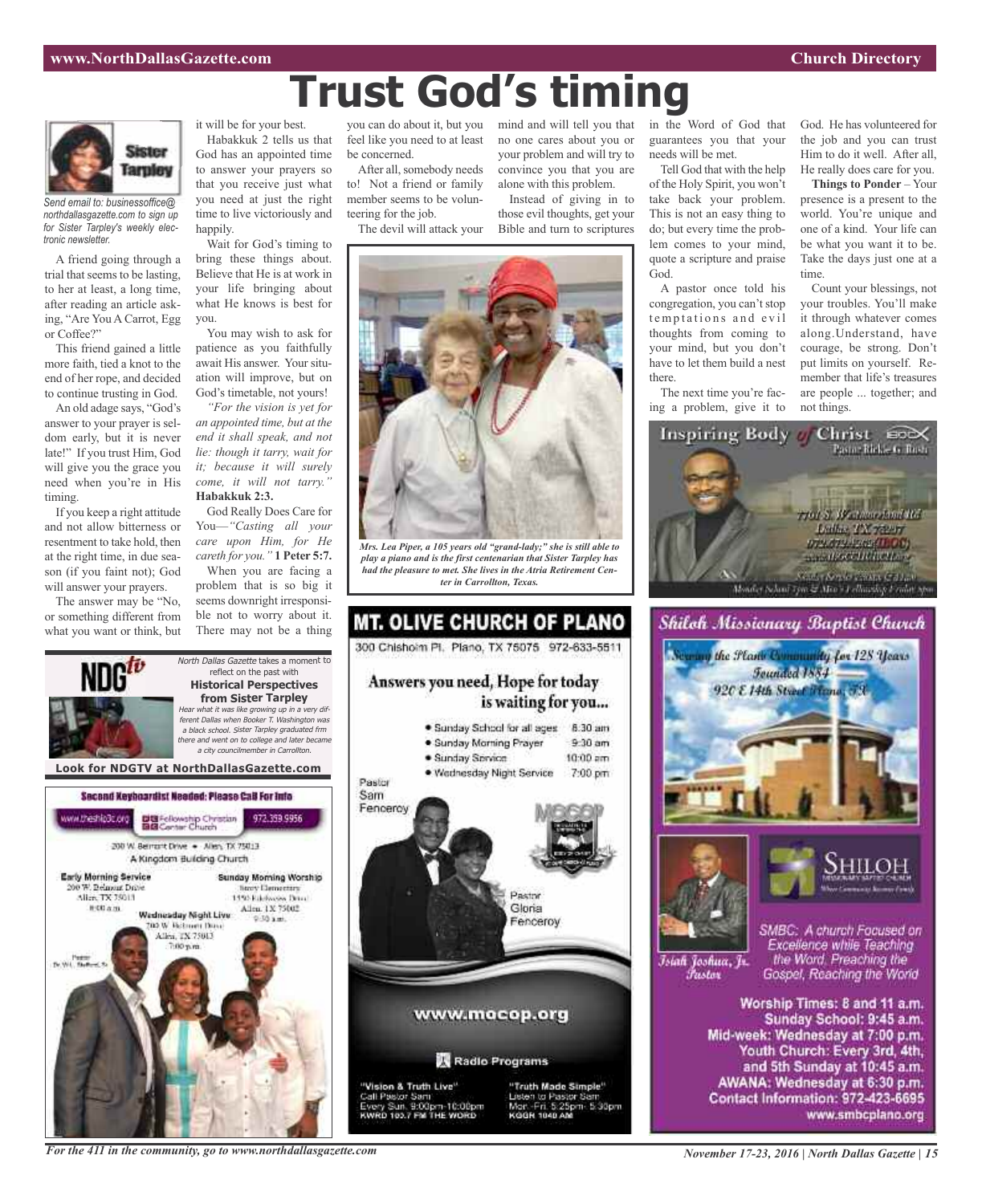

*Send email to: businessoffice@ northdallasgazette.com to sign up for Sister Tarpley's weekly electronic newsletter.*

A friend going through a trial that seems to be lasting, to her at least, a long time, after reading an article asking, "Are You A Carrot, Egg or Coffee?"

This friend gained a little more faith, tied a knot to the end of her rope, and decided to continue trusting in God.

An old adage says, "God's answer to your prayer is seldom early, but it is never late!" If you trust Him, God will give you the grace you need when you're in His timing.

If you keep a right attitude and not allow bitterness or resentment to take hold, then at the right time, in due season (if you faint not); God will answer your prayers.

The answer may be "No, or something different from what you want or think, but it will be for your best. Habakkuk 2 tells us that God has an appointed time

to answer your prayers so that you receive just what you need at just the right time to live victoriously and happily.

Wait for God's timing to bring these things about. Believe that He is at work in your life bringing about what He knows is best for you.

You may wish to ask for patience as you faithfully await His answer. Yoursituation will improve, but on God's timetable, not yours!

*"For the vision is yet for an appointed time, but at the end it shall speak, and not lie: though it tarry, wait for it; because it will surely come, it will not tarry."* **Habakkuk 2:3.**

God Really Does Care for You—*"Casting all your care upon Him, for He careth for you."* **1 Peter 5:7.**

When you are facing a problem that is so big it seems downright irresponsible not to worry about it. There may not be a thing

North Dallas Gazette takes a moment to reflect on the past with **Historical Perspectives from Sister Tarpley**

you can do about it, but you feel like you need to at least be concerned.

After all, somebody needs to! Not a friend or family member seems to be volunteering for the job.

The devil will attack your

mind and will tell you that no one cares about you or your problem and will try to convince you that you are alone with this problem.

Instead of giving in to those evil thoughts, get your Bible and turn to scriptures



**Trust God's timing**

*Mrs. Lea Piper, a 105 years old "grand-lady;" she is still able to play a piano and is the first centenarian that Sister Tarpley has had the pleasure to met. She lives in the Atria Retirement Center in Carrollton, Texas.*



in the Word of God that guarantees you that your needs will be met.

Tell God that with the help of the Holy Spirit, you won't take back your problem. This is not an easy thing to do; but every time the problem comes to your mind, quote a scripture and praise God.

A pastor once told his congregation, you can't stop temptations and evil thoughts from coming to your mind, but you don't have to let them build a nest there.

The next time you're facing a problem, give it to

God. He has volunteered for the job and you can trust Him to do it well. After all, He really does care for you.

**Things to Ponder** – Your presence is a present to the world. You're unique and one of a kind. Your life can be what you want it to be. Take the days just one at a time.

Count your blessings, not your troubles. You'll make it through whatever comes along.Understand, have courage, be strong. Don't put limits on yourself. Remember that life's treasures are people ... together; and not things.







SMBC: A church Focused on

Īsiah Joshua, Jr. Fustor

Excellence while Teaching the Word. Preaching the Gospel, Reaching the World

Worship Times: 8 and 11 a.m. Sunday School: 9:45 a.m. Mid-week: Wednesday at 7:00 p.m. Youth Church: Every 3rd, 4th, and 5th Sunday at 10:45 a.m. AWANA: Wednesday at 6:30 p.m. Contact Information: 972-423-6695 www.smbcplano.org

Hear what it was like growing up in <sup>a</sup> very different Dallas when Booker T. Washington was <sup>a</sup> black school. Sister Tarpley graduated frm there and went on to college and later became <sup>a</sup> city councilmember in Carrollton. **Look for NDGTV at NorthDallasGazette.com**Second Keyboardist Needed: Please CaB For Info DE Fellowship Christian<br>BIB Center Church ww.theship3c.org 972.359.9956 200 W. Bernsht Drive . - Allen, TX 75013 A Kingdom Building Church **Early Morning Service** Sunday Morning Worship 0 W. Belmunt Drive **Nexty Elementary** Alice TX 75013 1450 Ethnologies Drug-Allen, 1X 75002 **图 00 点 图** Wadnasday Night Live 00 W. Retmen Door Allen, TX 75013

*For the 411 in the community, go to www.northdallasgazette.com*

*November 17-23, 2016 | North Dallas Gazette | 15*